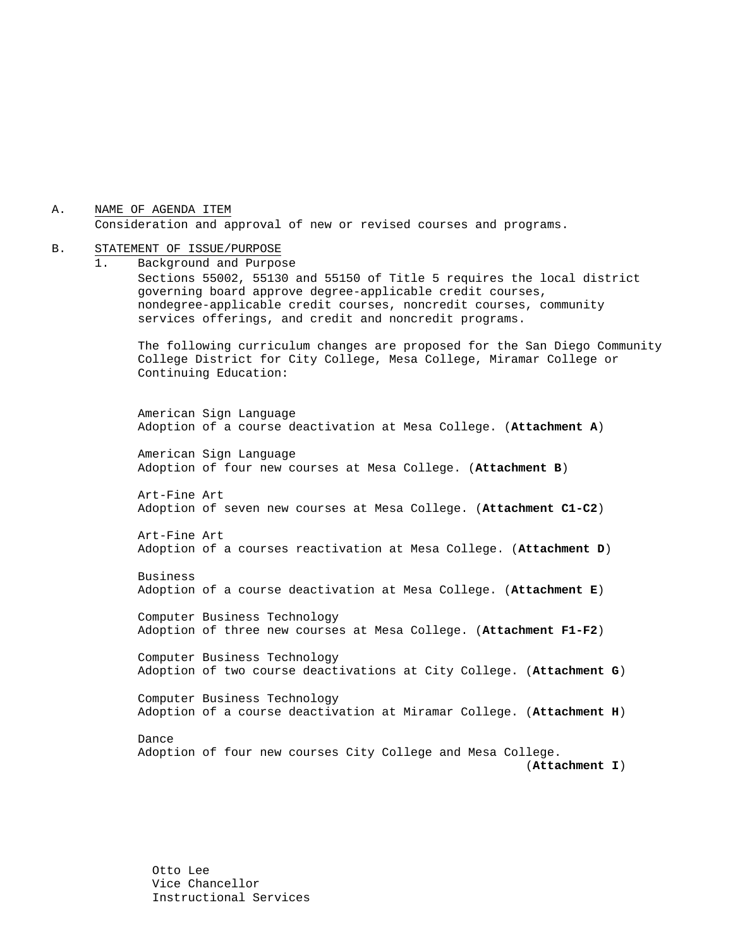A. NAME OF AGENDA ITEM Consideration and approval of new or revised courses and programs.

#### B. STATEMENT OF ISSUE/PURPOSE

1. Background and Purpose Sections 55002, 55130 and 55150 of Title 5 requires the local district governing board approve degree-applicable credit courses, nondegree-applicable credit courses, noncredit courses, community services offerings, and credit and noncredit programs. The following curriculum changes are proposed for the San Diego Community College District for City College, Mesa College, Miramar College or Continuing Education: American Sign Language Adoption of a course deactivation at Mesa College. (**Attachment A**) American Sign Language Adoption of four new courses at Mesa College. (**Attachment B**) Art-Fine Art Adoption of seven new courses at Mesa College. (**Attachment C1-C2**) Art-Fine Art Adoption of a courses reactivation at Mesa College. (**Attachment D**) Business Adoption of a course deactivation at Mesa College. (**Attachment E**) Computer Business Technology Adoption of three new courses at Mesa College. (**Attachment F1-F2**) Computer Business Technology Adoption of two course deactivations at City College. (**Attachment G**) Computer Business Technology Adoption of a course deactivation at Miramar College. (**Attachment H**) Dance Adoption of four new courses City College and Mesa College. (**Attachment I**)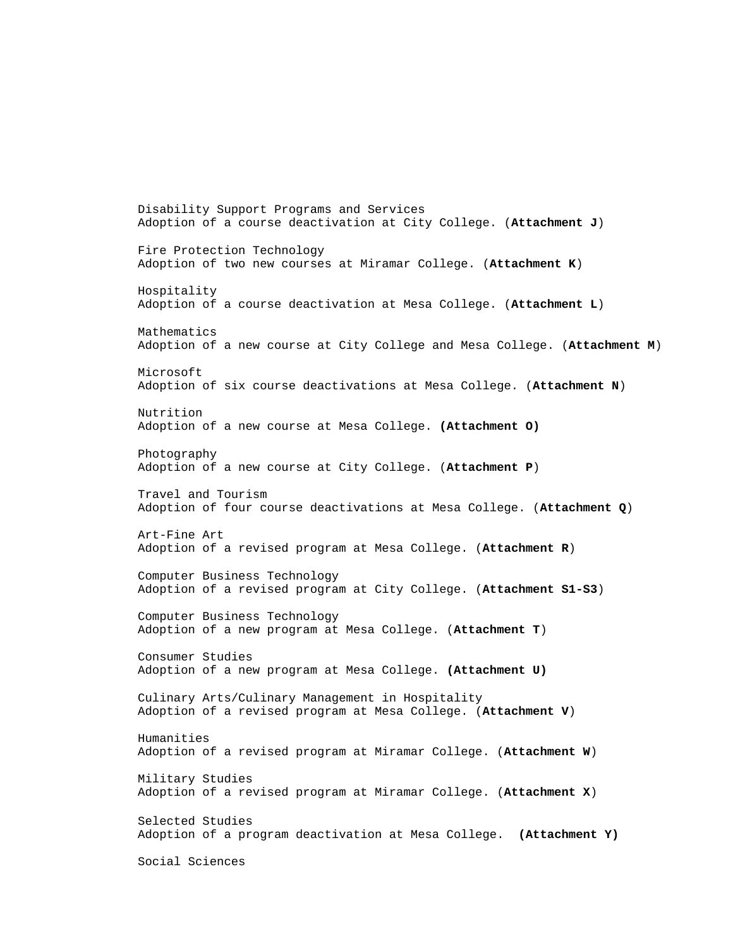Disability Support Programs and Services Adoption of a course deactivation at City College. (**Attachment J**) Fire Protection Technology Adoption of two new courses at Miramar College. (**Attachment K**) Hospitality Adoption of a course deactivation at Mesa College. (**Attachment L**) Mathematics Adoption of a new course at City College and Mesa College. (**Attachment M**) Microsoft Adoption of six course deactivations at Mesa College. (**Attachment N**) Nutrition Adoption of a new course at Mesa College. **(Attachment O)** Photography Adoption of a new course at City College. (**Attachment P**) Travel and Tourism Adoption of four course deactivations at Mesa College. (**Attachment Q**) Art-Fine Art Adoption of a revised program at Mesa College. (**Attachment R**) Computer Business Technology Adoption of a revised program at City College. (**Attachment S1-S3**) Computer Business Technology Adoption of a new program at Mesa College. (**Attachment T**) Consumer Studies Adoption of a new program at Mesa College. **(Attachment U)** Culinary Arts/Culinary Management in Hospitality Adoption of a revised program at Mesa College. (**Attachment V**) Humanities Adoption of a revised program at Miramar College. (**Attachment W**) Military Studies Adoption of a revised program at Miramar College. (**Attachment X**) Selected Studies Adoption of a program deactivation at Mesa College. **(Attachment Y)** Social Sciences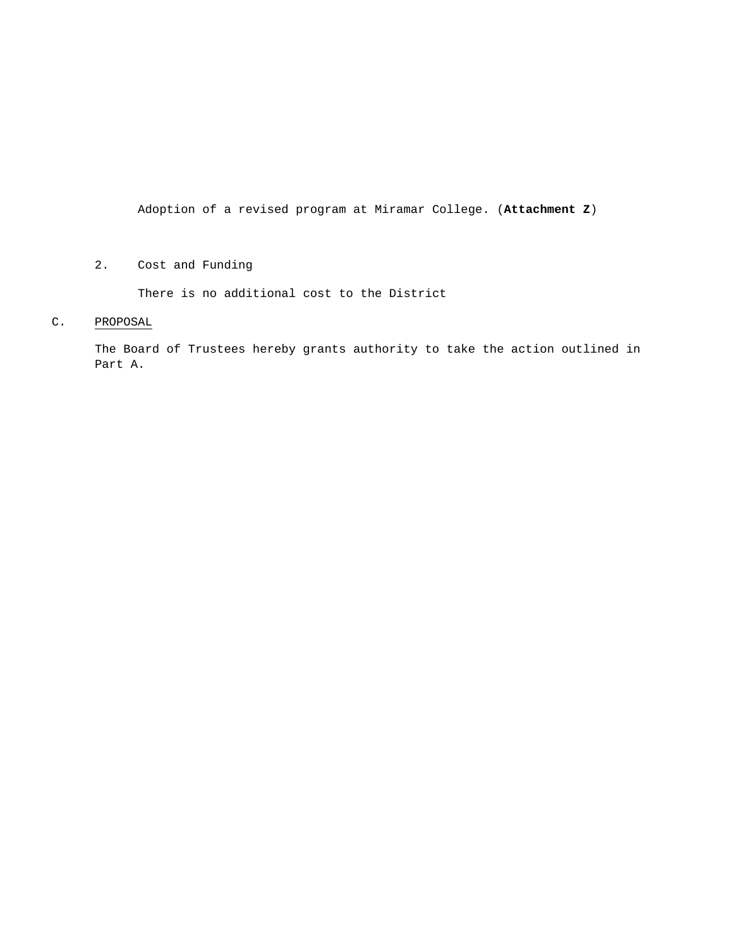Adoption of a revised program at Miramar College. (**Attachment Z**)

#### 2. Cost and Funding

There is no additional cost to the District

#### C. PROPOSAL

The Board of Trustees hereby grants authority to take the action outlined in Part A.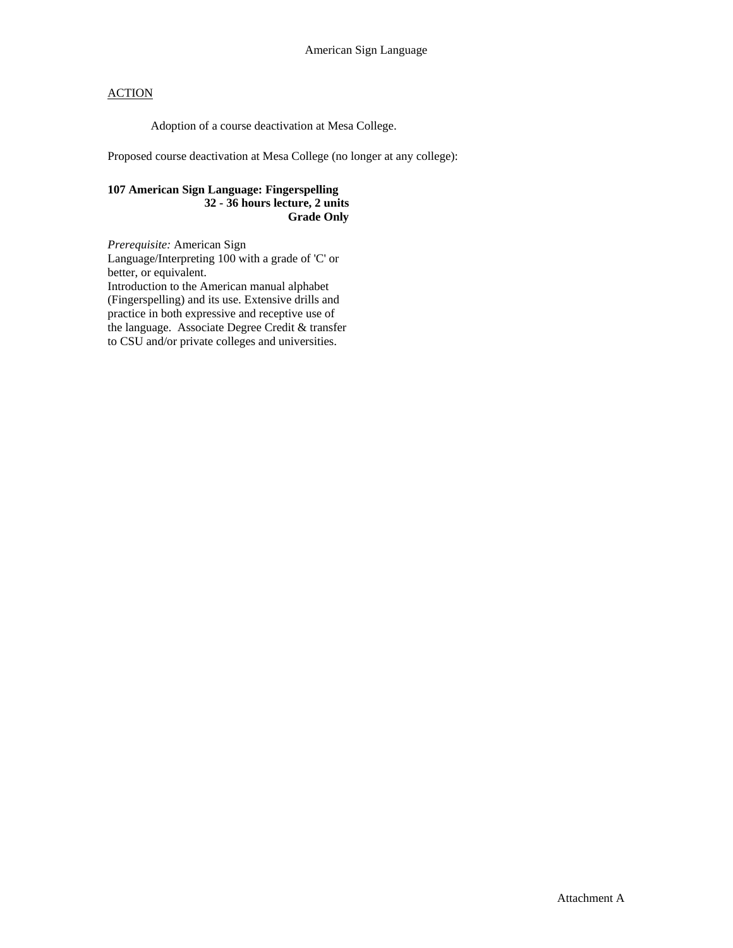Adoption of a course deactivation at Mesa College.

Proposed course deactivation at Mesa College (no longer at any college):

### **107 American Sign Language: Fingerspelling 32 - 36 hours lecture, 2 units Grade Only**

*Prerequisite:* American Sign Language/Interpreting 100 with a grade of 'C' or better, or equivalent. Introduction to the American manual alphabet (Fingerspelling) and its use. Extensive drills and practice in both expressive and receptive use of the language. Associate Degree Credit & transfer to CSU and/or private colleges and universities.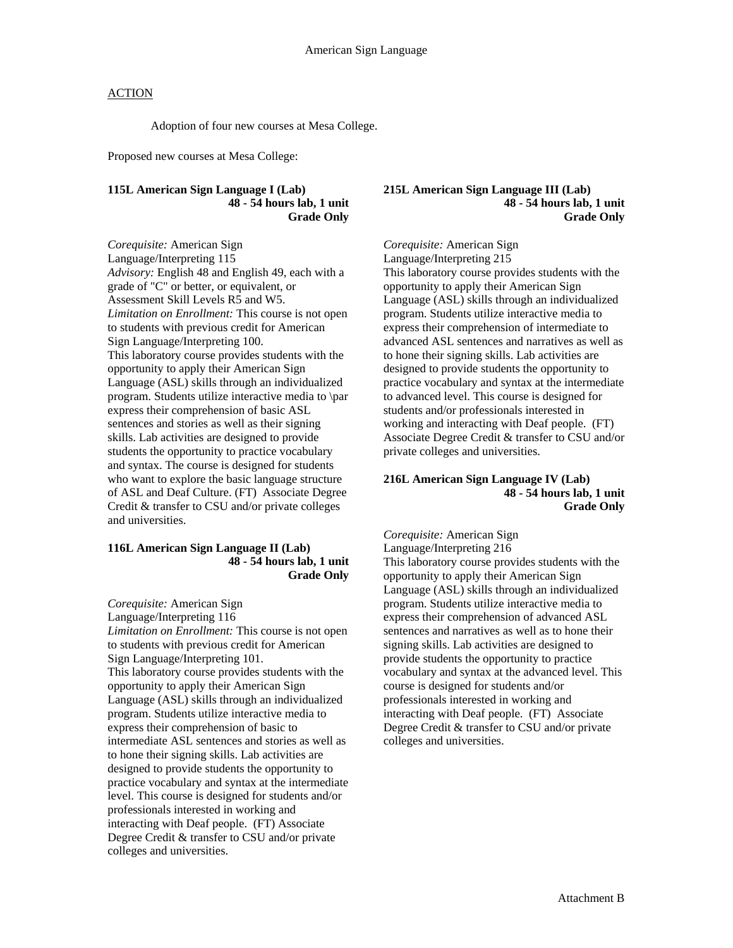Adoption of four new courses at Mesa College.

Proposed new courses at Mesa College:

#### **115L American Sign Language I (Lab) 48 - 54 hours lab, 1 unit Grade Only**

*Corequisite:* American Sign Language/Interpreting 115 *Advisory:* English 48 and English 49, each with a grade of "C" or better, or equivalent, or Assessment Skill Levels R5 and W5. *Limitation on Enrollment:* This course is not open to students with previous credit for American Sign Language/Interpreting 100. This laboratory course provides students with the opportunity to apply their American Sign Language (ASL) skills through an individualized program. Students utilize interactive media to \par express their comprehension of basic ASL sentences and stories as well as their signing skills. Lab activities are designed to provide students the opportunity to practice vocabulary and syntax. The course is designed for students who want to explore the basic language structure of ASL and Deaf Culture. (FT) Associate Degree Credit & transfer to CSU and/or private colleges and universities.

#### **116L American Sign Language II (Lab) 48 - 54 hours lab, 1 unit Grade Only**

*Corequisite:* American Sign Language/Interpreting 116 *Limitation on Enrollment:* This course is not open to students with previous credit for American Sign Language/Interpreting 101. This laboratory course provides students with the opportunity to apply their American Sign Language (ASL) skills through an individualized program. Students utilize interactive media to express their comprehension of basic to intermediate ASL sentences and stories as well as to hone their signing skills. Lab activities are designed to provide students the opportunity to practice vocabulary and syntax at the intermediate level. This course is designed for students and/or professionals interested in working and interacting with Deaf people. (FT) Associate Degree Credit & transfer to CSU and/or private colleges and universities.

#### **215L American Sign Language III (Lab) 48 - 54 hours lab, 1 unit Grade Only**

*Corequisite:* American Sign Language/Interpreting 215 This laboratory course provides students with the opportunity to apply their American Sign Language (ASL) skills through an individualized program. Students utilize interactive media to express their comprehension of intermediate to advanced ASL sentences and narratives as well as to hone their signing skills. Lab activities are designed to provide students the opportunity to practice vocabulary and syntax at the intermediate to advanced level. This course is designed for students and/or professionals interested in working and interacting with Deaf people. (FT) Associate Degree Credit & transfer to CSU and/or private colleges and universities.

#### **216L American Sign Language IV (Lab) 48 - 54 hours lab, 1 unit Grade Only**

*Corequisite:* American Sign Language/Interpreting 216 This laboratory course provides students with the opportunity to apply their American Sign Language (ASL) skills through an individualized program. Students utilize interactive media to express their comprehension of advanced ASL sentences and narratives as well as to hone their signing skills. Lab activities are designed to provide students the opportunity to practice vocabulary and syntax at the advanced level. This course is designed for students and/or professionals interested in working and interacting with Deaf people. (FT) Associate Degree Credit & transfer to CSU and/or private colleges and universities.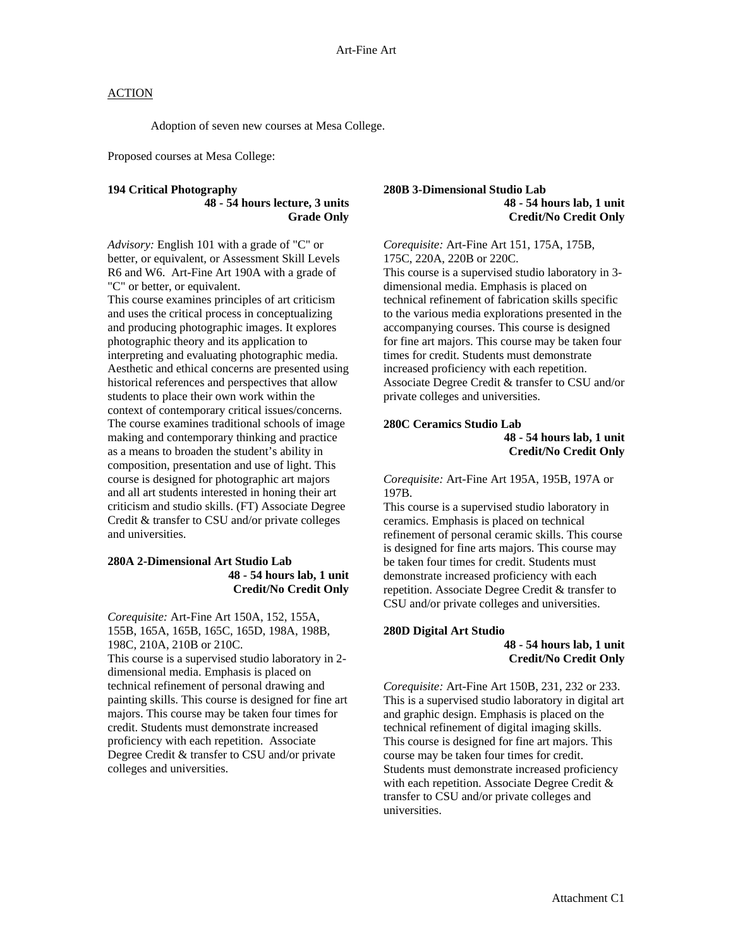Adoption of seven new courses at Mesa College.

Proposed courses at Mesa College:

#### **194 Critical Photography 48 - 54 hours lecture, 3 units Grade Only**

*Advisory:* English 101 with a grade of "C" or better, or equivalent, or Assessment Skill Levels R6 and W6. Art-Fine Art 190A with a grade of "C" or better, or equivalent.

This course examines principles of art criticism and uses the critical process in conceptualizing and producing photographic images. It explores photographic theory and its application to interpreting and evaluating photographic media. Aesthetic and ethical concerns are presented using historical references and perspectives that allow students to place their own work within the context of contemporary critical issues/concerns. The course examines traditional schools of image making and contemporary thinking and practice as a means to broaden the student's ability in composition, presentation and use of light. This course is designed for photographic art majors and all art students interested in honing their art criticism and studio skills. (FT) Associate Degree Credit & transfer to CSU and/or private colleges and universities.

#### **280A 2-Dimensional Art Studio Lab 48 - 54 hours lab, 1 unit Credit/No Credit Only**

*Corequisite:* Art-Fine Art 150A, 152, 155A, 155B, 165A, 165B, 165C, 165D, 198A, 198B, 198C, 210A, 210B or 210C. This course is a supervised studio laboratory in 2 dimensional media. Emphasis is placed on technical refinement of personal drawing and painting skills. This course is designed for fine art majors. This course may be taken four times for credit. Students must demonstrate increased proficiency with each repetition. Associate Degree Credit & transfer to CSU and/or private colleges and universities.

#### **280B 3-Dimensional Studio Lab 48 - 54 hours lab, 1 unit Credit/No Credit Only**

*Corequisite:* Art-Fine Art 151, 175A, 175B, 175C, 220A, 220B or 220C. This course is a supervised studio laboratory in 3 dimensional media. Emphasis is placed on technical refinement of fabrication skills specific to the various media explorations presented in the accompanying courses. This course is designed for fine art majors. This course may be taken four times for credit. Students must demonstrate increased proficiency with each repetition. Associate Degree Credit & transfer to CSU and/or private colleges and universities.

#### **280C Ceramics Studio Lab 48 - 54 hours lab, 1 unit Credit/No Credit Only**

*Corequisite:* Art-Fine Art 195A, 195B, 197A or 197B.

This course is a supervised studio laboratory in ceramics. Emphasis is placed on technical refinement of personal ceramic skills. This course is designed for fine arts majors. This course may be taken four times for credit. Students must demonstrate increased proficiency with each repetition. Associate Degree Credit & transfer to CSU and/or private colleges and universities.

#### **280D Digital Art Studio**

#### **48 - 54 hours lab, 1 unit Credit/No Credit Only**

*Corequisite:* Art-Fine Art 150B, 231, 232 or 233. This is a supervised studio laboratory in digital art and graphic design. Emphasis is placed on the technical refinement of digital imaging skills. This course is designed for fine art majors. This course may be taken four times for credit. Students must demonstrate increased proficiency with each repetition. Associate Degree Credit & transfer to CSU and/or private colleges and universities.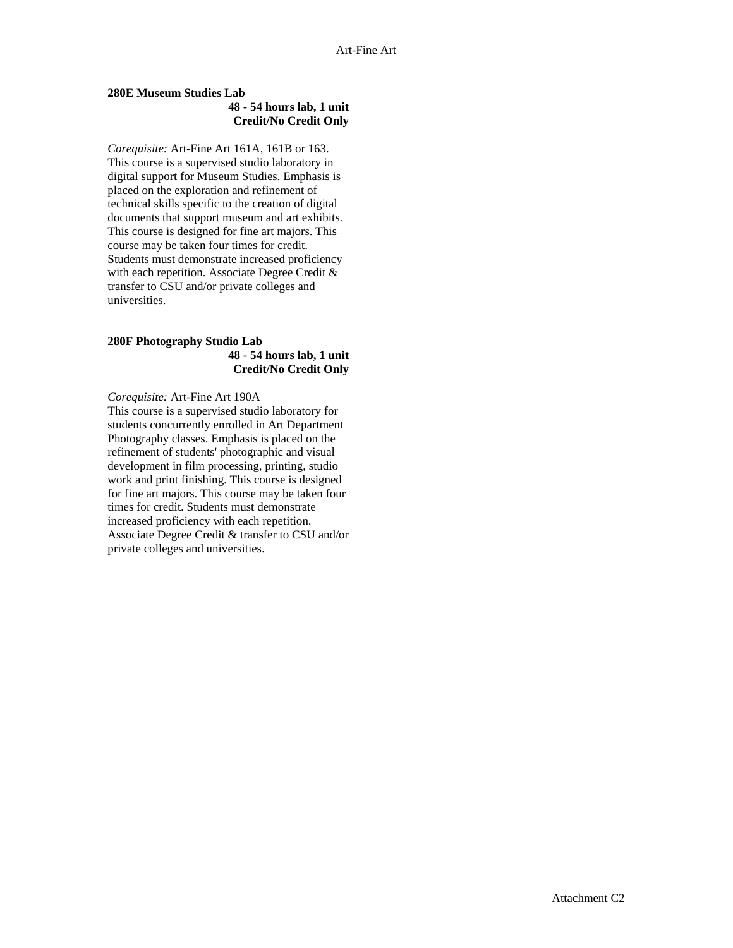#### **280E Museum Studies Lab 48 - 54 hours lab, 1 unit Credit/No Credit Only**

*Corequisite:* Art-Fine Art 161A, 161B or 163. This course is a supervised studio laboratory in digital support for Museum Studies. Emphasis is placed on the exploration and refinement of technical skills specific to the creation of digital documents that support museum and art exhibits. This course is designed for fine art majors. This course may be taken four times for credit. Students must demonstrate increased proficiency with each repetition. Associate Degree Credit & transfer to CSU and/or private colleges and universities.

#### **280F Photography Studio Lab 48 - 54 hours lab, 1 unit Credit/No Credit Only**

*Corequisite:* Art-Fine Art 190A

This course is a supervised studio laboratory for students concurrently enrolled in Art Department Photography classes. Emphasis is placed on the refinement of students' photographic and visual development in film processing, printing, studio work and print finishing. This course is designed for fine art majors. This course may be taken four times for credit. Students must demonstrate increased proficiency with each repetition. Associate Degree Credit & transfer to CSU and/or private colleges and universities.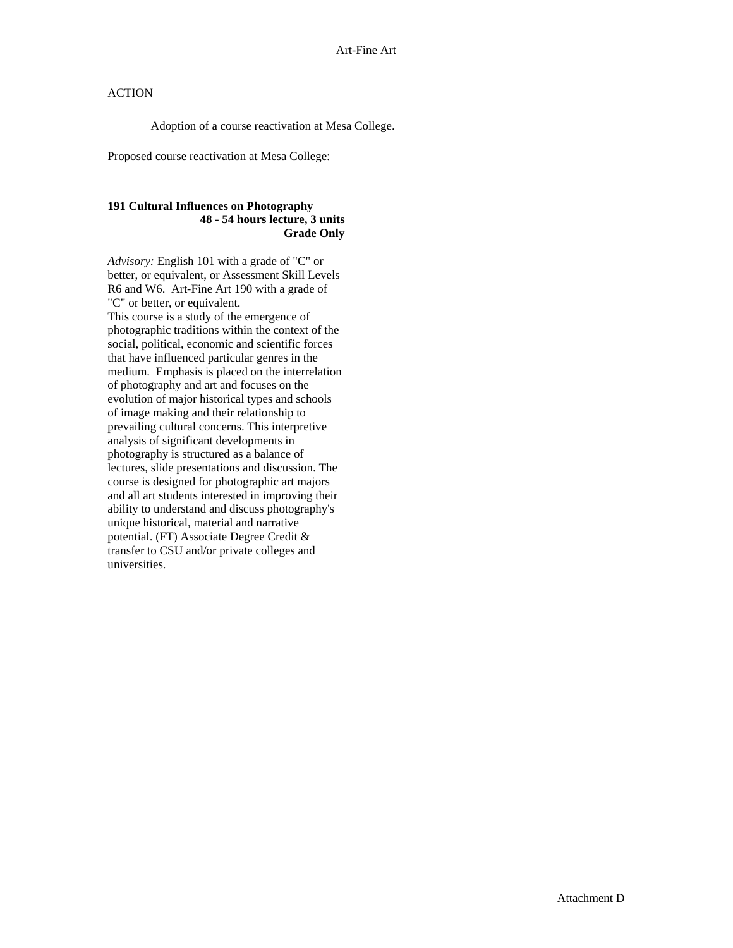Adoption of a course reactivation at Mesa College.

Proposed course reactivation at Mesa College:

#### **191 Cultural Influences on Photography 48 - 54 hours lecture, 3 units Grade Only**

*Advisory:* English 101 with a grade of "C" or better, or equivalent, or Assessment Skill Levels R6 and W6. Art-Fine Art 190 with a grade of "C" or better, or equivalent. This course is a study of the emergence of photographic traditions within the context of the social, political, economic and scientific forces that have influenced particular genres in the medium. Emphasis is placed on the interrelation of photography and art and focuses on the evolution of major historical types and schools of image making and their relationship to prevailing cultural concerns. This interpretive analysis of significant developments in photography is structured as a balance of lectures, slide presentations and discussion. The course is designed for photographic art majors and all art students interested in improving their ability to understand and discuss photography's unique historical, material and narrative potential. (FT) Associate Degree Credit & transfer to CSU and/or private colleges and universities.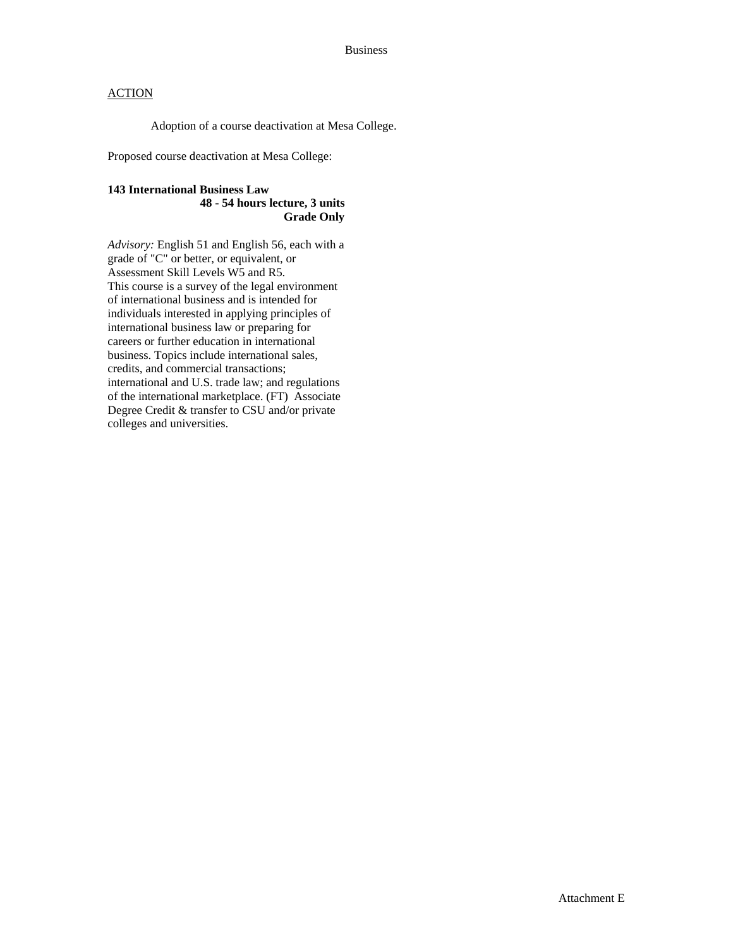Adoption of a course deactivation at Mesa College.

Proposed course deactivation at Mesa College:

#### **143 International Business Law 48 - 54 hours lecture, 3 units Grade Only**

*Advisory:* English 51 and English 56, each with a grade of "C" or better, or equivalent, or Assessment Skill Levels W5 and R5. This course is a survey of the legal environment of international business and is intended for individuals interested in applying principles of international business law or preparing for careers or further education in international business. Topics include international sales, credits, and commercial transactions; international and U.S. trade law; and regulations of the international marketplace. (FT) Associate Degree Credit & transfer to CSU and/or private colleges and universities.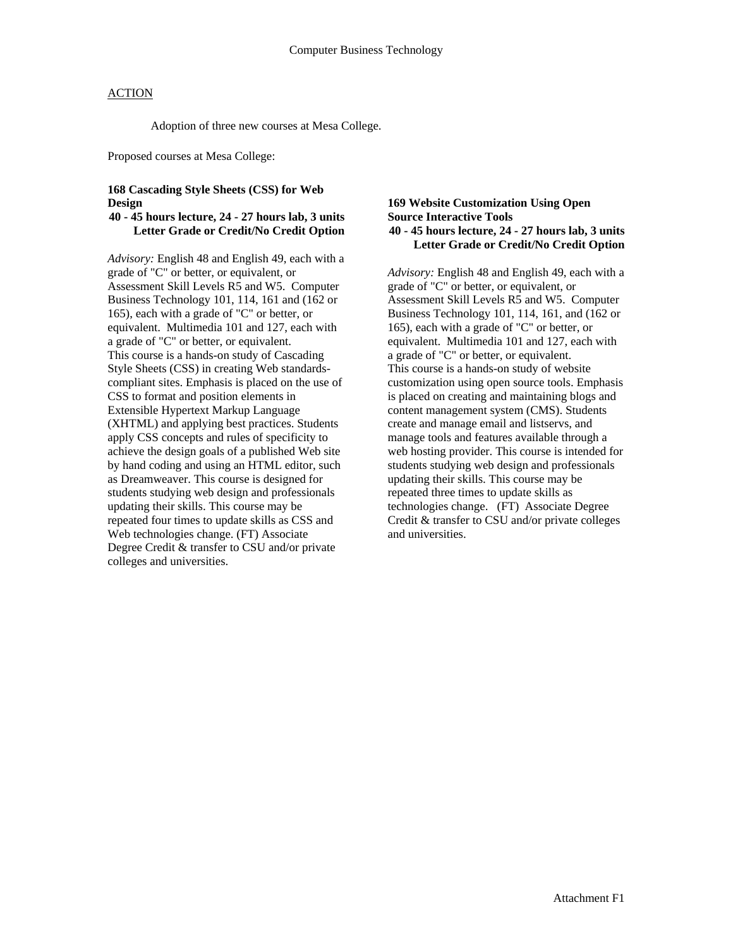Adoption of three new courses at Mesa College.

Proposed courses at Mesa College:

## **168 Cascading Style Sheets (CSS) for Web Design**

#### **40 - 45 hours lecture, 24 - 27 hours lab, 3 units Letter Grade or Credit/No Credit Option**

*Advisory:* English 48 and English 49, each with a grade of "C" or better, or equivalent, or Assessment Skill Levels R5 and W5. Computer Business Technology 101, 114, 161 and (162 or 165), each with a grade of "C" or better, or equivalent. Multimedia 101 and 127, each with a grade of "C" or better, or equivalent. This course is a hands-on study of Cascading Style Sheets (CSS) in creating Web standardscompliant sites. Emphasis is placed on the use of CSS to format and position elements in Extensible Hypertext Markup Language (XHTML) and applying best practices. Students apply CSS concepts and rules of specificity to achieve the design goals of a published Web site by hand coding and using an HTML editor, such as Dreamweaver. This course is designed for students studying web design and professionals updating their skills. This course may be repeated four times to update skills as CSS and Web technologies change. (FT) Associate Degree Credit & transfer to CSU and/or private colleges and universities.

#### **169 Website Customization Using Open Source Interactive Tools 40 - 45 hours lecture, 24 - 27 hours lab, 3 units Letter Grade or Credit/No Credit Option**

*Advisory:* English 48 and English 49, each with a grade of "C" or better, or equivalent, or Assessment Skill Levels R5 and W5. Computer Business Technology 101, 114, 161, and (162 or 165), each with a grade of "C" or better, or equivalent. Multimedia 101 and 127, each with a grade of "C" or better, or equivalent. This course is a hands-on study of website customization using open source tools. Emphasis is placed on creating and maintaining blogs and content management system (CMS). Students create and manage email and listservs, and manage tools and features available through a web hosting provider. This course is intended for students studying web design and professionals updating their skills. This course may be repeated three times to update skills as technologies change. (FT) Associate Degree Credit & transfer to CSU and/or private colleges and universities.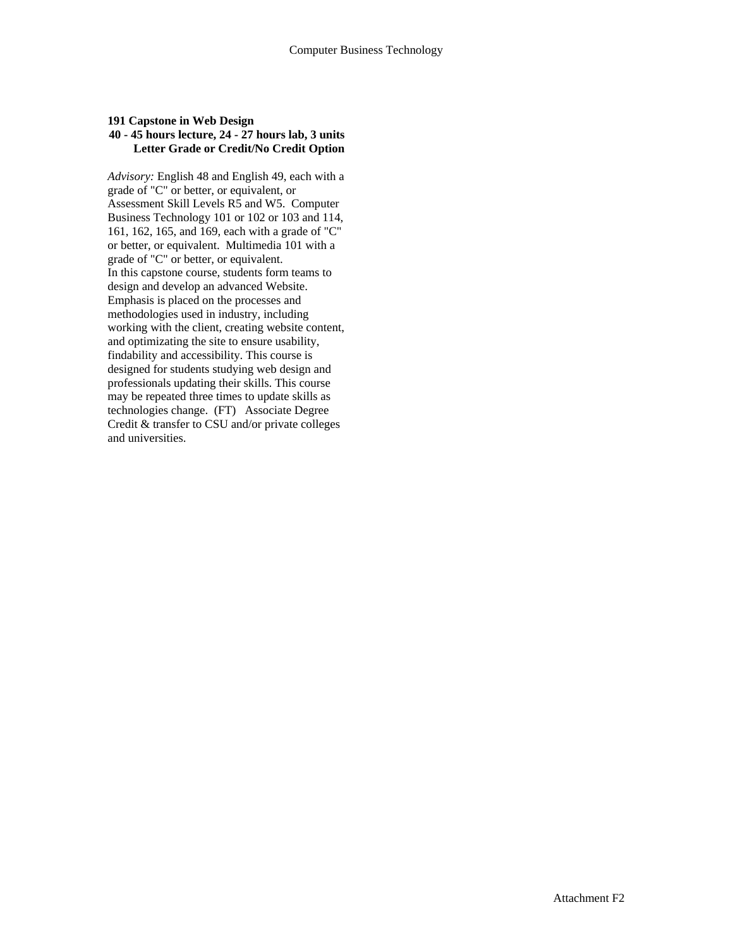### **191 Capstone in Web Design 40 - 45 hours lecture, 24 - 27 hours lab, 3 units Letter Grade or Credit/No Credit Option**

*Advisory:* English 48 and English 49, each with a grade of "C" or better, or equivalent, or Assessment Skill Levels R5 and W5. Computer Business Technology 101 or 102 or 103 and 114, 161, 162, 165, and 169, each with a grade of "C" or better, or equivalent. Multimedia 101 with a grade of "C" or better, or equivalent. In this capstone course, students form teams to design and develop an advanced Website. Emphasis is placed on the processes and methodologies used in industry, including working with the client, creating website content, and optimizating the site to ensure usability, findability and accessibility. This course is designed for students studying web design and professionals updating their skills. This course may be repeated three times to update skills as technologies change. (FT) Associate Degree Credit & transfer to CSU and/or private colleges and universities.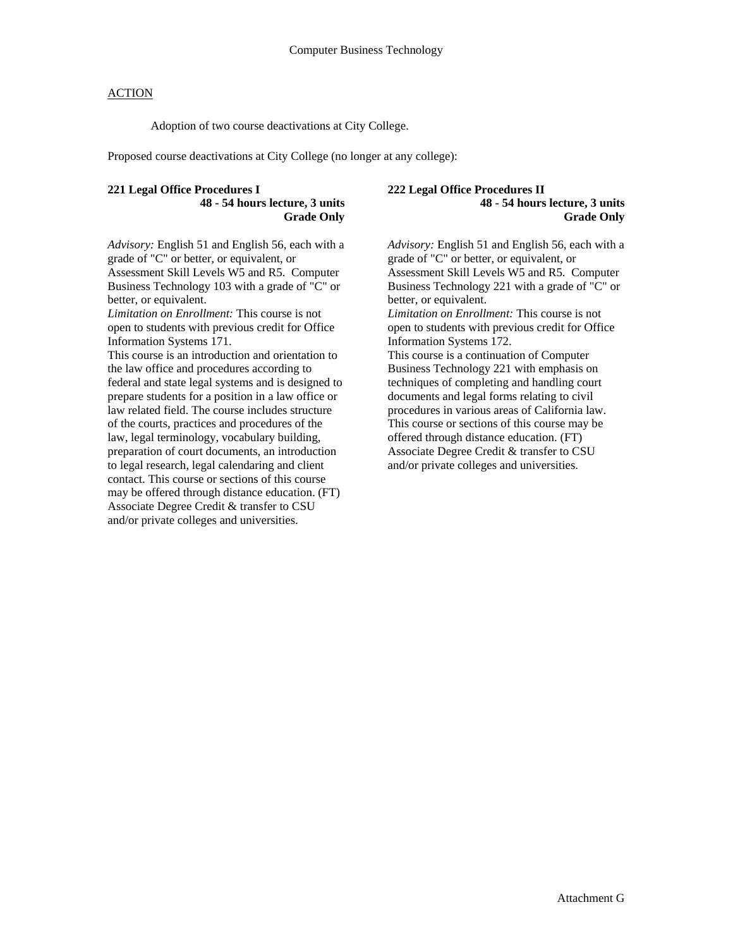Adoption of two course deactivations at City College.

Proposed course deactivations at City College (no longer at any college):

#### **221 Legal Office Procedures I 48 - 54 hours lecture, 3 units Grade Only**

*Advisory:* English 51 and English 56, each with a grade of "C" or better, or equivalent, or Assessment Skill Levels W5 and R5. Computer Business Technology 103 with a grade of "C" or better, or equivalent.

*Limitation on Enrollment:* This course is not open to students with previous credit for Office Information Systems 171.

This course is an introduction and orientation to the law office and procedures according to federal and state legal systems and is designed to prepare students for a position in a law office or law related field. The course includes structure of the courts, practices and procedures of the law, legal terminology, vocabulary building, preparation of court documents, an introduction to legal research, legal calendaring and client contact. This course or sections of this course may be offered through distance education. (FT) Associate Degree Credit & transfer to CSU and/or private colleges and universities.

#### **222 Legal Office Procedures II 48 - 54 hours lecture, 3 units Grade Only**

*Advisory:* English 51 and English 56, each with a grade of "C" or better, or equivalent, or Assessment Skill Levels W5 and R5. Computer Business Technology 221 with a grade of "C" or better, or equivalent. *Limitation on Enrollment:* This course is not open to students with previous credit for Office Information Systems 172. This course is a continuation of Computer Business Technology 221 with emphasis on techniques of completing and handling court documents and legal forms relating to civil procedures in various areas of California law. This course or sections of this course may be offered through distance education. (FT) Associate Degree Credit & transfer to CSU and/or private colleges and universities.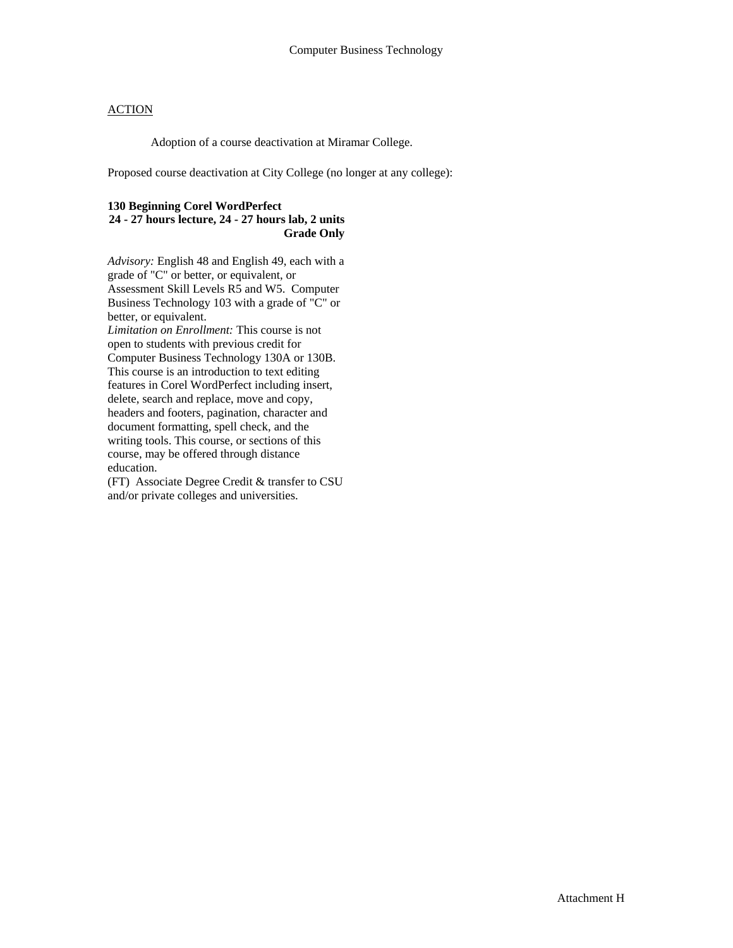Adoption of a course deactivation at Miramar College.

Proposed course deactivation at City College (no longer at any college):

#### **130 Beginning Corel WordPerfect 24 - 27 hours lecture, 24 - 27 hours lab, 2 units Grade Only**

*Advisory:* English 48 and English 49, each with a grade of "C" or better, or equivalent, or Assessment Skill Levels R5 and W5. Computer Business Technology 103 with a grade of "C" or better, or equivalent. *Limitation on Enrollment:* This course is not open to students with previous credit for Computer Business Technology 130A or 130B. This course is an introduction to text editing features in Corel WordPerfect including insert, delete, search and replace, move and copy, headers and footers, pagination, character and document formatting, spell check, and the writing tools. This course, or sections of this course, may be offered through distance education.

(FT) Associate Degree Credit & transfer to CSU and/or private colleges and universities.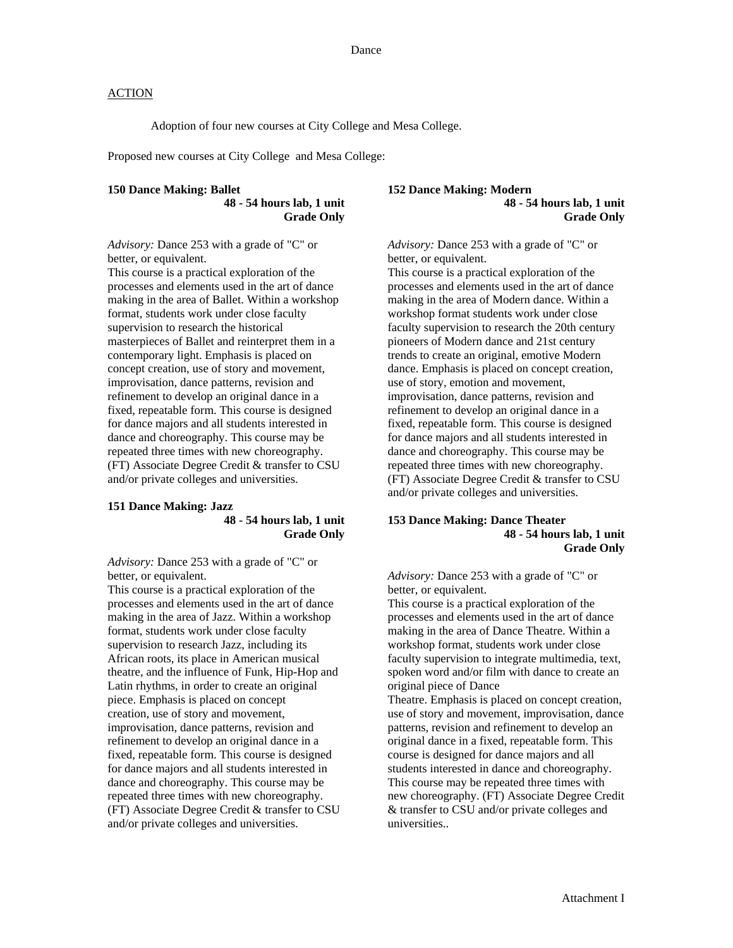Dance

#### **ACTION**

Adoption of four new courses at City College and Mesa College.

Proposed new courses at City College and Mesa College:

# **150 Dance Making: Ballet**

**48 - 54 hours lab, 1 unit Grade Only** 

*Advisory:* Dance 253 with a grade of "C" or better, or equivalent.

This course is a practical exploration of the processes and elements used in the art of dance making in the area of Ballet. Within a workshop format, students work under close faculty supervision to research the historical masterpieces of Ballet and reinterpret them in a contemporary light. Emphasis is placed on concept creation, use of story and movement, improvisation, dance patterns, revision and refinement to develop an original dance in a fixed, repeatable form. This course is designed for dance majors and all students interested in dance and choreography. This course may be repeated three times with new choreography. (FT) Associate Degree Credit & transfer to CSU and/or private colleges and universities.

#### **151 Dance Making: Jazz 48 - 54 hours lab, 1 unit Grade Only**

*Advisory:* Dance 253 with a grade of "C" or better, or equivalent.

This course is a practical exploration of the processes and elements used in the art of dance making in the area of Jazz. Within a workshop format, students work under close faculty supervision to research Jazz, including its African roots, its place in American musical theatre, and the influence of Funk, Hip-Hop and Latin rhythms, in order to create an original piece. Emphasis is placed on concept creation, use of story and movement, improvisation, dance patterns, revision and refinement to develop an original dance in a fixed, repeatable form. This course is designed for dance majors and all students interested in dance and choreography. This course may be repeated three times with new choreography. (FT) Associate Degree Credit & transfer to CSU and/or private colleges and universities.

**152 Dance Making: Modern 48 - 54 hours lab, 1 unit Grade Only** 

*Advisory:* Dance 253 with a grade of "C" or better, or equivalent.

This course is a practical exploration of the processes and elements used in the art of dance making in the area of Modern dance. Within a workshop format students work under close faculty supervision to research the 20th century pioneers of Modern dance and 21st century trends to create an original, emotive Modern dance. Emphasis is placed on concept creation, use of story, emotion and movement, improvisation, dance patterns, revision and refinement to develop an original dance in a fixed, repeatable form. This course is designed for dance majors and all students interested in dance and choreography. This course may be repeated three times with new choreography. (FT) Associate Degree Credit & transfer to CSU and/or private colleges and universities.

#### **153 Dance Making: Dance Theater 48 - 54 hours lab, 1 unit Grade Only**

*Advisory:* Dance 253 with a grade of "C" or better, or equivalent.

This course is a practical exploration of the processes and elements used in the art of dance making in the area of Dance Theatre. Within a workshop format, students work under close faculty supervision to integrate multimedia, text, spoken word and/or film with dance to create an original piece of Dance

Theatre. Emphasis is placed on concept creation, use of story and movement, improvisation, dance patterns, revision and refinement to develop an original dance in a fixed, repeatable form. This course is designed for dance majors and all students interested in dance and choreography. This course may be repeated three times with new choreography. (FT) Associate Degree Credit & transfer to CSU and/or private colleges and universities..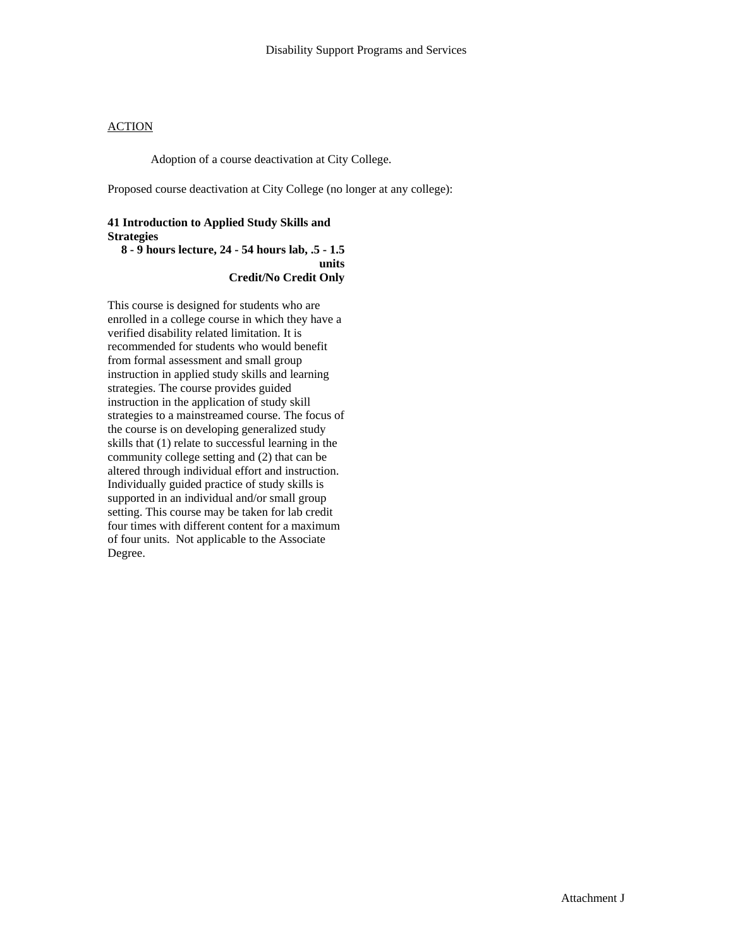Adoption of a course deactivation at City College.

Proposed course deactivation at City College (no longer at any college):

#### **41 Introduction to Applied Study Skills and Strategies**

**8 - 9 hours lecture, 24 - 54 hours lab, .5 - 1.5 units Credit/No Credit Only** 

This course is designed for students who are enrolled in a college course in which they have a verified disability related limitation. It is recommended for students who would benefit from formal assessment and small group instruction in applied study skills and learning strategies. The course provides guided instruction in the application of study skill strategies to a mainstreamed course. The focus of the course is on developing generalized study skills that (1) relate to successful learning in the community college setting and (2) that can be altered through individual effort and instruction. Individually guided practice of study skills is supported in an individual and/or small group setting. This course may be taken for lab credit four times with different content for a maximum of four units. Not applicable to the Associate Degree.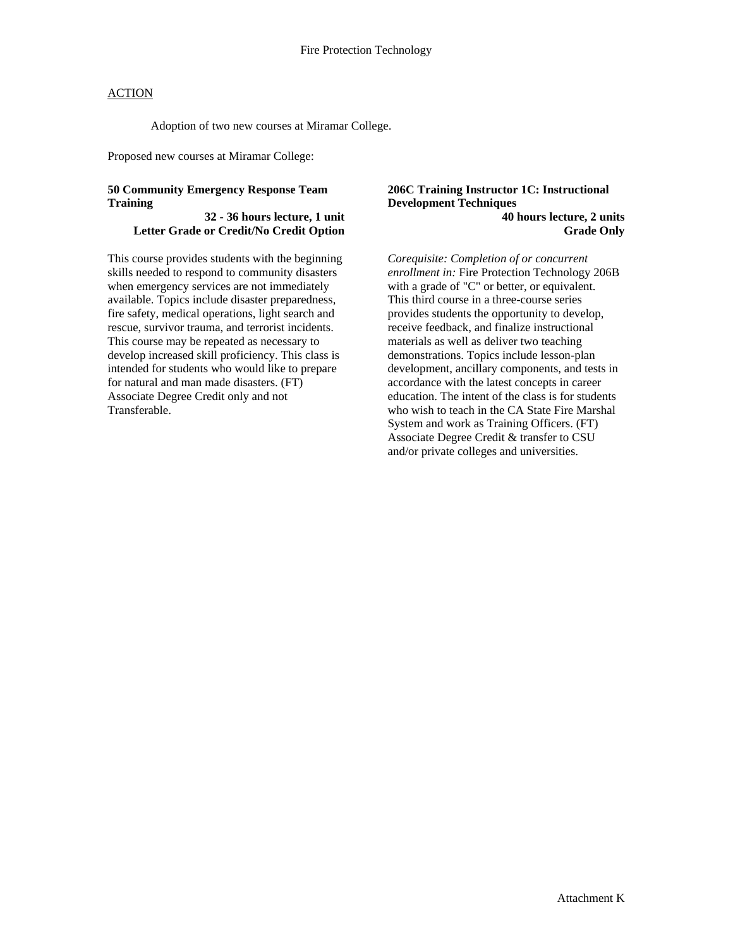Adoption of two new courses at Miramar College.

Proposed new courses at Miramar College:

## **50 Community Emergency Response Team Training**

**32 - 36 hours lecture, 1 unit Letter Grade or Credit/No Credit Option** 

This course provides students with the beginning skills needed to respond to community disasters when emergency services are not immediately available. Topics include disaster preparedness, fire safety, medical operations, light search and rescue, survivor trauma, and terrorist incidents. This course may be repeated as necessary to develop increased skill proficiency. This class is intended for students who would like to prepare for natural and man made disasters. (FT) Associate Degree Credit only and not Transferable.

#### **206C Training Instructor 1C: Instructional Development Techniques 40 hours lecture, 2 units Grade Only**

*Corequisite: Completion of or concurrent enrollment in:* Fire Protection Technology 206B with a grade of "C" or better, or equivalent. This third course in a three-course series provides students the opportunity to develop, receive feedback, and finalize instructional materials as well as deliver two teaching demonstrations. Topics include lesson-plan development, ancillary components, and tests in accordance with the latest concepts in career education. The intent of the class is for students who wish to teach in the CA State Fire Marshal System and work as Training Officers. (FT) Associate Degree Credit & transfer to CSU and/or private colleges and universities.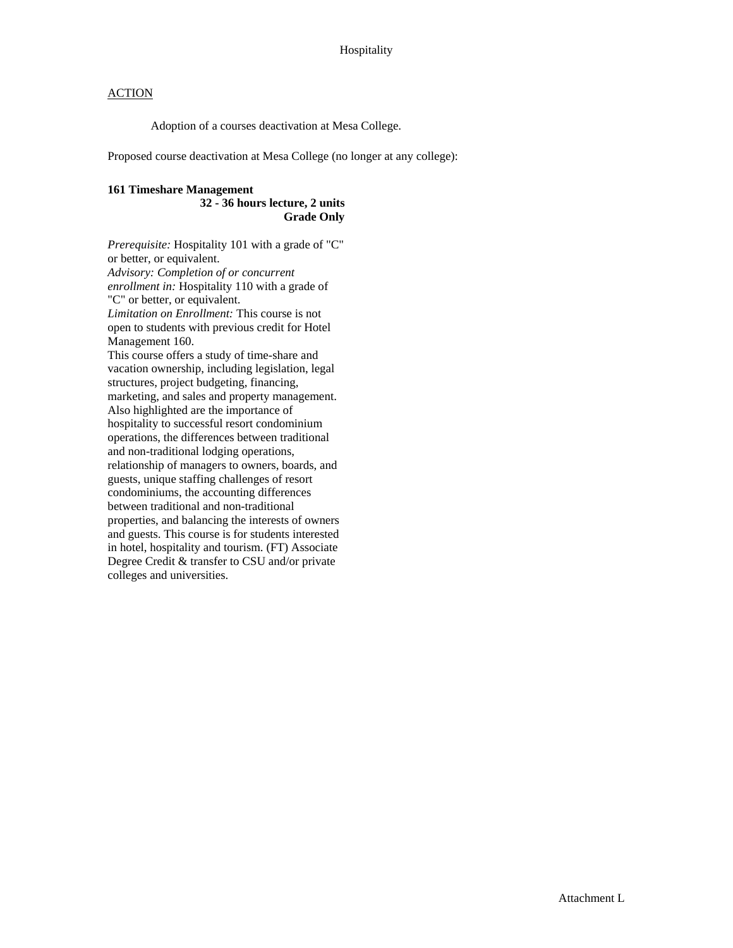Adoption of a courses deactivation at Mesa College.

Proposed course deactivation at Mesa College (no longer at any college):

## **161 Timeshare Management 32 - 36 hours lecture, 2 units**

**Grade Only** 

*Prerequisite:* Hospitality 101 with a grade of "C" or better, or equivalent. *Advisory: Completion of or concurrent enrollment in:* Hospitality 110 with a grade of "C" or better, or equivalent. *Limitation on Enrollment:* This course is not open to students with previous credit for Hotel Management 160. This course offers a study of time-share and vacation ownership, including legislation, legal structures, project budgeting, financing, marketing, and sales and property management. Also highlighted are the importance of hospitality to successful resort condominium operations, the differences between traditional and non-traditional lodging operations, relationship of managers to owners, boards, and guests, unique staffing challenges of resort condominiums, the accounting differences between traditional and non-traditional properties, and balancing the interests of owners and guests. This course is for students interested in hotel, hospitality and tourism. (FT) Associate Degree Credit & transfer to CSU and/or private colleges and universities.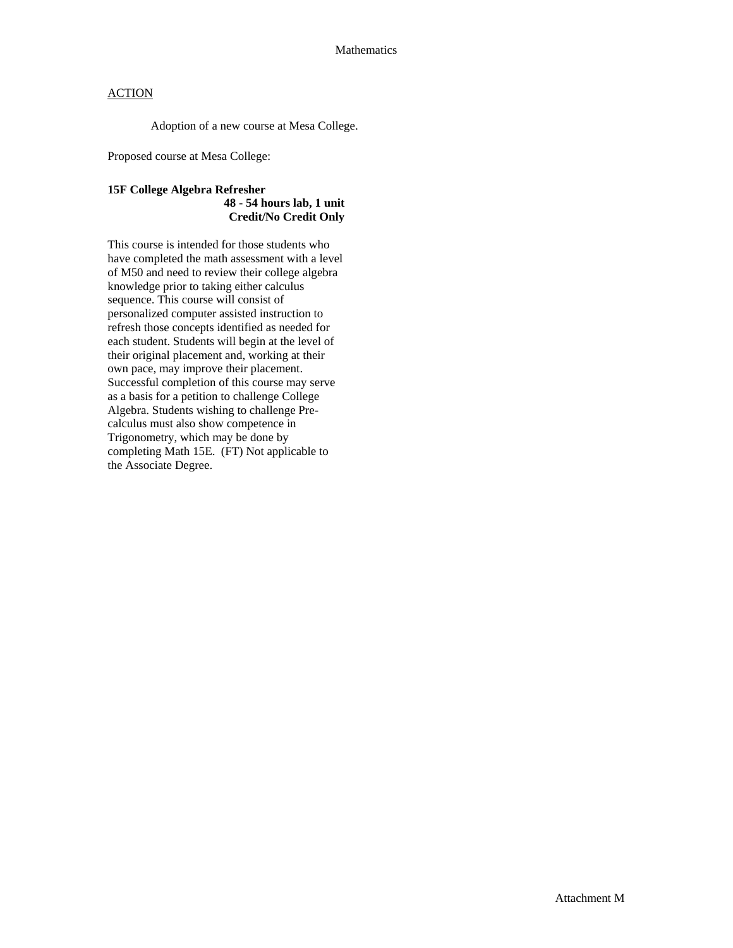Adoption of a new course at Mesa College.

Proposed course at Mesa College:

## **15F College Algebra Refresher 48 - 54 hours lab, 1 unit Credit/No Credit Only**

This course is intended for those students who have completed the math assessment with a level of M50 and need to review their college algebra knowledge prior to taking either calculus sequence. This course will consist of personalized computer assisted instruction to refresh those concepts identified as needed for each student. Students will begin at the level of their original placement and, working at their own pace, may improve their placement. Successful completion of this course may serve as a basis for a petition to challenge College Algebra. Students wishing to challenge Precalculus must also show competence in Trigonometry, which may be done by completing Math 15E. (FT) Not applicable to the Associate Degree.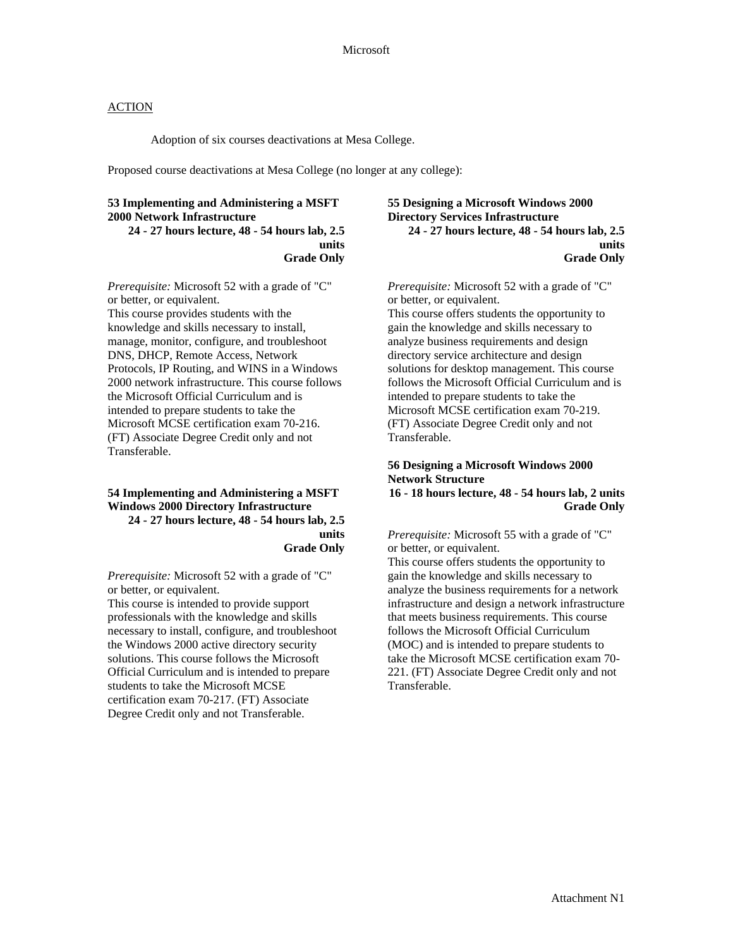Adoption of six courses deactivations at Mesa College.

Proposed course deactivations at Mesa College (no longer at any college):

#### **53 Implementing and Administering a MSFT 2000 Network Infrastructure 24 - 27 hours lecture, 48 - 54 hours lab, 2.5**

**units Grade Only** 

*Prerequisite:* Microsoft 52 with a grade of "C" or better, or equivalent. This course provides students with the knowledge and skills necessary to install, manage, monitor, configure, and troubleshoot DNS, DHCP, Remote Access, Network Protocols, IP Routing, and WINS in a Windows

2000 network infrastructure. This course follows the Microsoft Official Curriculum and is intended to prepare students to take the Microsoft MCSE certification exam 70-216. (FT) Associate Degree Credit only and not Transferable.

#### **54 Implementing and Administering a MSFT Windows 2000 Directory Infrastructure 24 - 27 hours lecture, 48 - 54 hours lab, 2.5 units Grade Only**

*Prerequisite:* Microsoft 52 with a grade of "C" or better, or equivalent.

This course is intended to provide support professionals with the knowledge and skills necessary to install, configure, and troubleshoot the Windows 2000 active directory security solutions. This course follows the Microsoft Official Curriculum and is intended to prepare students to take the Microsoft MCSE certification exam 70-217. (FT) Associate Degree Credit only and not Transferable.

#### **55 Designing a Microsoft Windows 2000 Directory Services Infrastructure 24 - 27 hours lecture, 48 - 54 hours lab, 2.5 units Grade Only**

*Prerequisite:* Microsoft 52 with a grade of "C" or better, or equivalent.

This course offers students the opportunity to gain the knowledge and skills necessary to analyze business requirements and design directory service architecture and design solutions for desktop management. This course follows the Microsoft Official Curriculum and is intended to prepare students to take the Microsoft MCSE certification exam 70-219. (FT) Associate Degree Credit only and not Transferable.

#### **56 Designing a Microsoft Windows 2000 Network Structure 16 - 18 hours lecture, 48 - 54 hours lab, 2 units Grade Only**

*Prerequisite:* Microsoft 55 with a grade of "C" or better, or equivalent.

This course offers students the opportunity to gain the knowledge and skills necessary to analyze the business requirements for a network infrastructure and design a network infrastructure that meets business requirements. This course follows the Microsoft Official Curriculum (MOC) and is intended to prepare students to take the Microsoft MCSE certification exam 70- 221. (FT) Associate Degree Credit only and not Transferable.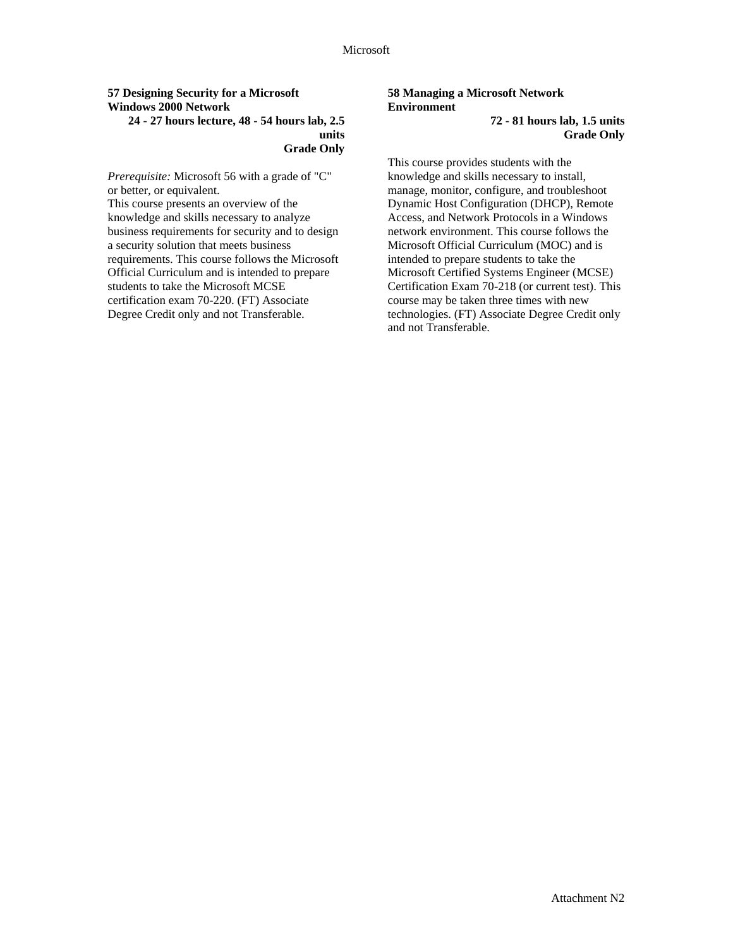#### **57 Designing Security for a Microsoft Windows 2000 Network 24 - 27 hours lecture, 48 - 54 hours lab, 2.5 units Grade Only**

*Prerequisite:* Microsoft 56 with a grade of "C" or better, or equivalent.

This course presents an overview of the knowledge and skills necessary to analyze business requirements for security and to design a security solution that meets business requirements. This course follows the Microsoft Official Curriculum and is intended to prepare students to take the Microsoft MCSE certification exam 70-220. (FT) Associate Degree Credit only and not Transferable.

## **58 Managing a Microsoft Network Environment**

**72 - 81 hours lab, 1.5 units Grade Only** 

This course provides students with the knowledge and skills necessary to install, manage, monitor, configure, and troubleshoot Dynamic Host Configuration (DHCP), Remote Access, and Network Protocols in a Windows network environment. This course follows the Microsoft Official Curriculum (MOC) and is intended to prepare students to take the Microsoft Certified Systems Engineer (MCSE) Certification Exam 70-218 (or current test). This course may be taken three times with new technologies. (FT) Associate Degree Credit only and not Transferable.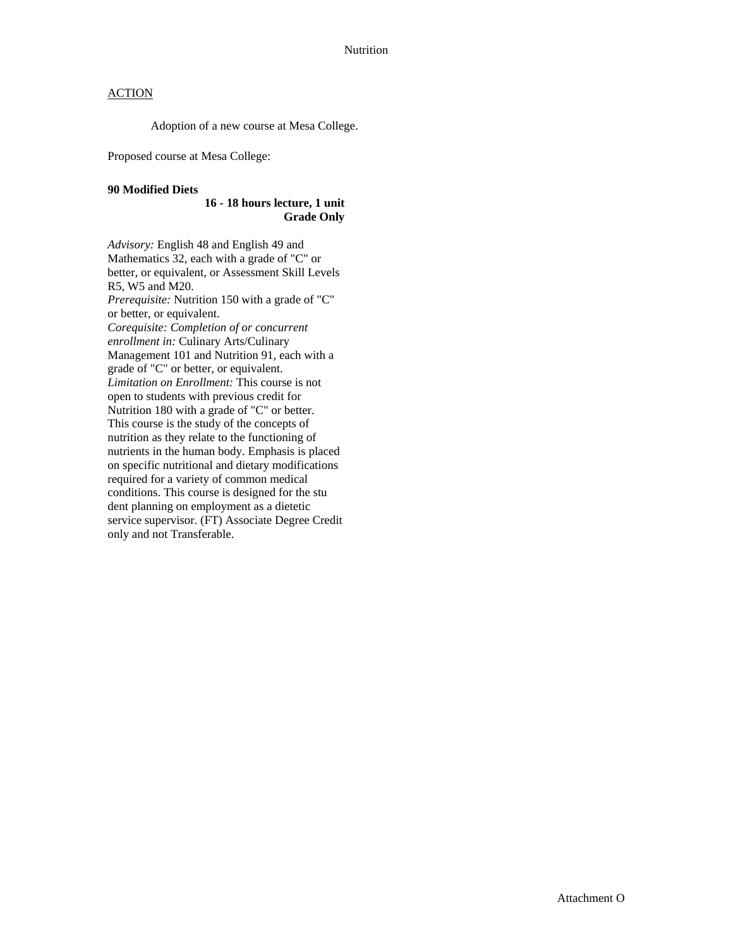Adoption of a new course at Mesa College.

Proposed course at Mesa College:

#### **90 Modified Diets**

#### **16 - 18 hours lecture, 1 unit Grade Only**

*Advisory:* English 48 and English 49 and Mathematics 32, each with a grade of "C" or better, or equivalent, or Assessment Skill Levels R5, W5 and M20. *Prerequisite:* Nutrition 150 with a grade of "C" or better, or equivalent. *Corequisite: Completion of or concurrent enrollment in:* Culinary Arts/Culinary Management 101 and Nutrition 91, each with a grade of "C" or better, or equivalent. *Limitation on Enrollment:* This course is not open to students with previous credit for Nutrition 180 with a grade of "C" or better. This course is the study of the concepts of nutrition as they relate to the functioning of nutrients in the human body. Emphasis is placed on specific nutritional and dietary modifications required for a variety of common medical conditions. This course is designed for the stu dent planning on employment as a dietetic service supervisor. (FT) Associate Degree Credit only and not Transferable.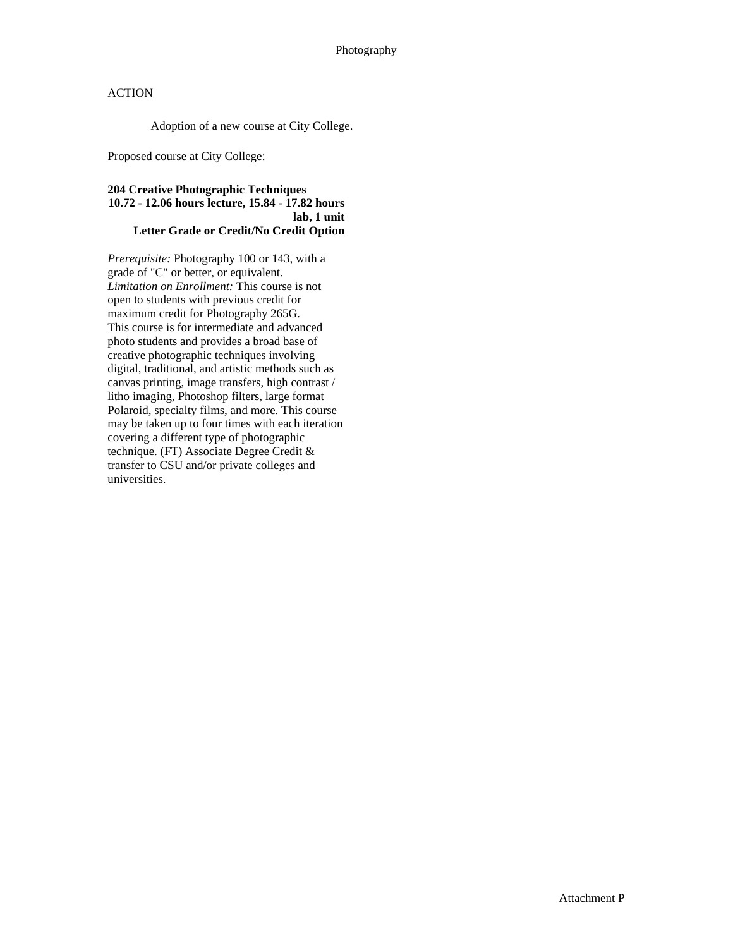Adoption of a new course at City College.

Proposed course at City College:

#### **204 Creative Photographic Techniques 10.72 - 12.06 hours lecture, 15.84 - 17.82 hours lab, 1 unit Letter Grade or Credit/No Credit Option**

*Prerequisite:* Photography 100 or 143, with a grade of "C" or better, or equivalent. *Limitation on Enrollment:* This course is not open to students with previous credit for maximum credit for Photography 265G. This course is for intermediate and advanced photo students and provides a broad base of creative photographic techniques involving digital, traditional, and artistic methods such as canvas printing, image transfers, high contrast / litho imaging, Photoshop filters, large format Polaroid, specialty films, and more. This course may be taken up to four times with each iteration covering a different type of photographic technique. (FT) Associate Degree Credit & transfer to CSU and/or private colleges and universities.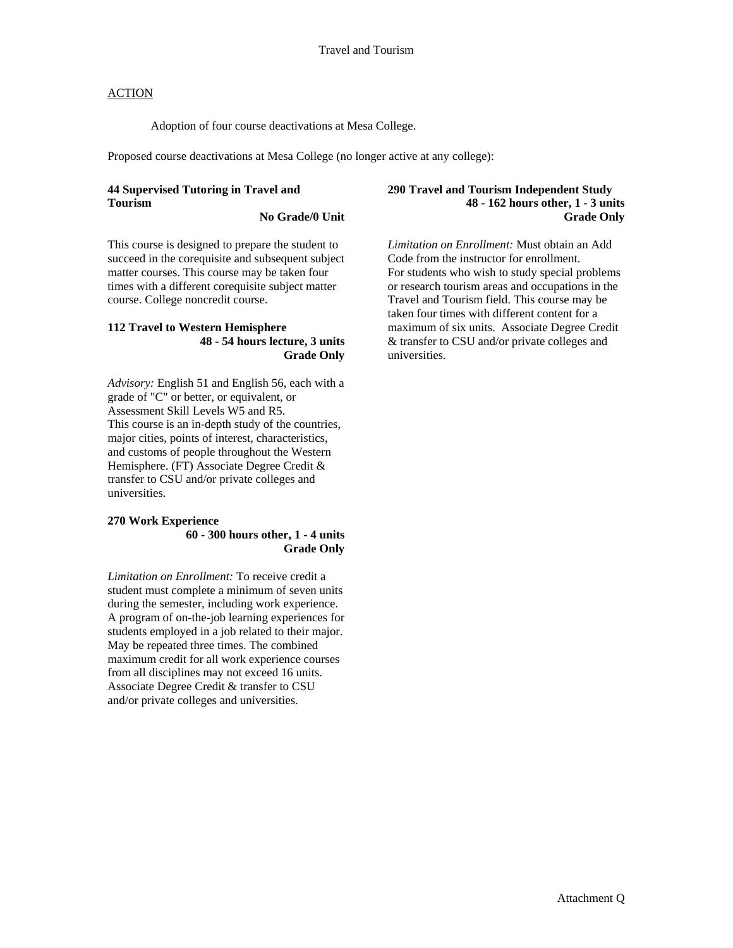Adoption of four course deactivations at Mesa College.

Proposed course deactivations at Mesa College (no longer active at any college):

## **44 Supervised Tutoring in Travel and Tourism**

**No Grade/0 Unit** 

This course is designed to prepare the student to succeed in the corequisite and subsequent subject matter courses. This course may be taken four times with a different corequisite subject matter course. College noncredit course.

### **112 Travel to Western Hemisphere 48 - 54 hours lecture, 3 units Grade Only**

*Advisory:* English 51 and English 56, each with a grade of "C" or better, or equivalent, or Assessment Skill Levels W5 and R5. This course is an in-depth study of the countries, major cities, points of interest, characteristics, and customs of people throughout the Western Hemisphere. (FT) Associate Degree Credit & transfer to CSU and/or private colleges and universities.

#### **270 Work Experience 60 - 300 hours other, 1 - 4 units Grade Only**

*Limitation on Enrollment:* To receive credit a student must complete a minimum of seven units during the semester, including work experience. A program of on-the-job learning experiences for students employed in a job related to their major. May be repeated three times. The combined maximum credit for all work experience courses from all disciplines may not exceed 16 units. Associate Degree Credit & transfer to CSU and/or private colleges and universities.

#### **290 Travel and Tourism Independent Study 48 - 162 hours other, 1 - 3 units Grade Only**

*Limitation on Enrollment:* Must obtain an Add Code from the instructor for enrollment. For students who wish to study special problems or research tourism areas and occupations in the Travel and Tourism field. This course may be taken four times with different content for a maximum of six units. Associate Degree Credit & transfer to CSU and/or private colleges and universities.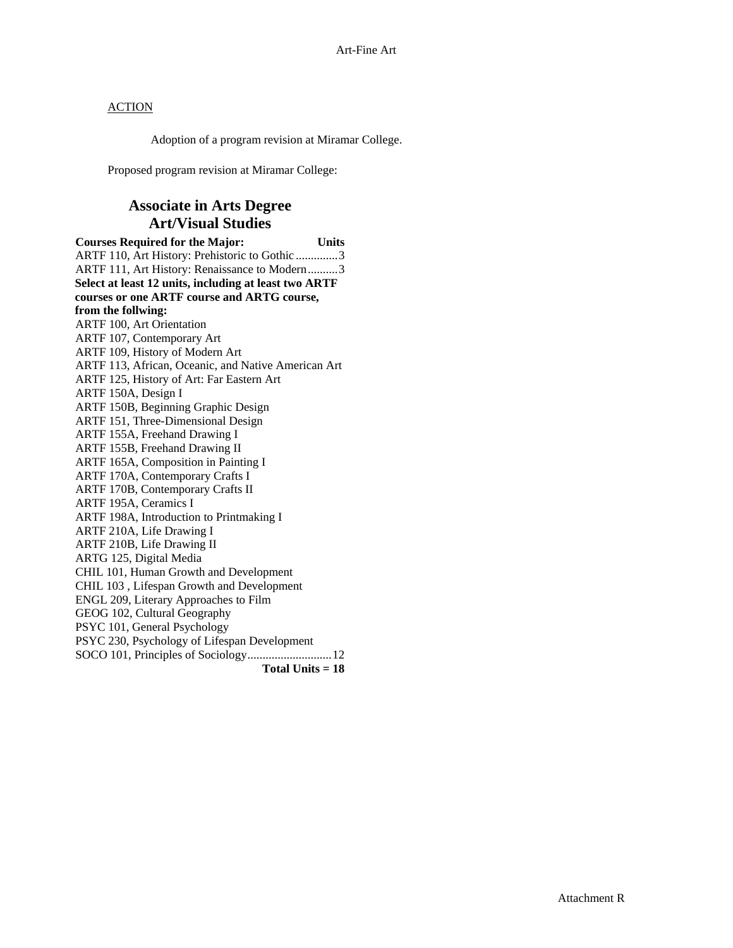Adoption of a program revision at Miramar College.

Proposed program revision at Miramar College:

# **Associate in Arts Degree Art/Visual Studies**

**Courses Required for the Major: Units**  ARTF 110, Art History: Prehistoric to Gothic ..............3 ARTF 111, Art History: Renaissance to Modern..........3 **Select at least 12 units, including at least two ARTF courses or one ARTF course and ARTG course, from the follwing:**  ARTF 100, Art Orientation ARTF 107, Contemporary Art ARTF 109, History of Modern Art ARTF 113, African, Oceanic, and Native American Art ARTF 125, History of Art: Far Eastern Art ARTF 150A, Design I ARTF 150B, Beginning Graphic Design ARTF 151, Three-Dimensional Design ARTF 155A, Freehand Drawing I ARTF 155B, Freehand Drawing II ARTF 165A, Composition in Painting I ARTF 170A, Contemporary Crafts I ARTF 170B, Contemporary Crafts II ARTF 195A, Ceramics I ARTF 198A, Introduction to Printmaking I ARTF 210A, Life Drawing I ARTF 210B, Life Drawing II ARTG 125, Digital Media CHIL 101, Human Growth and Development CHIL 103 , Lifespan Growth and Development ENGL 209, Literary Approaches to Film GEOG 102, Cultural Geography PSYC 101, General Psychology PSYC 230, Psychology of Lifespan Development SOCO 101, Principles of Sociology............................12 **Total Units = 18**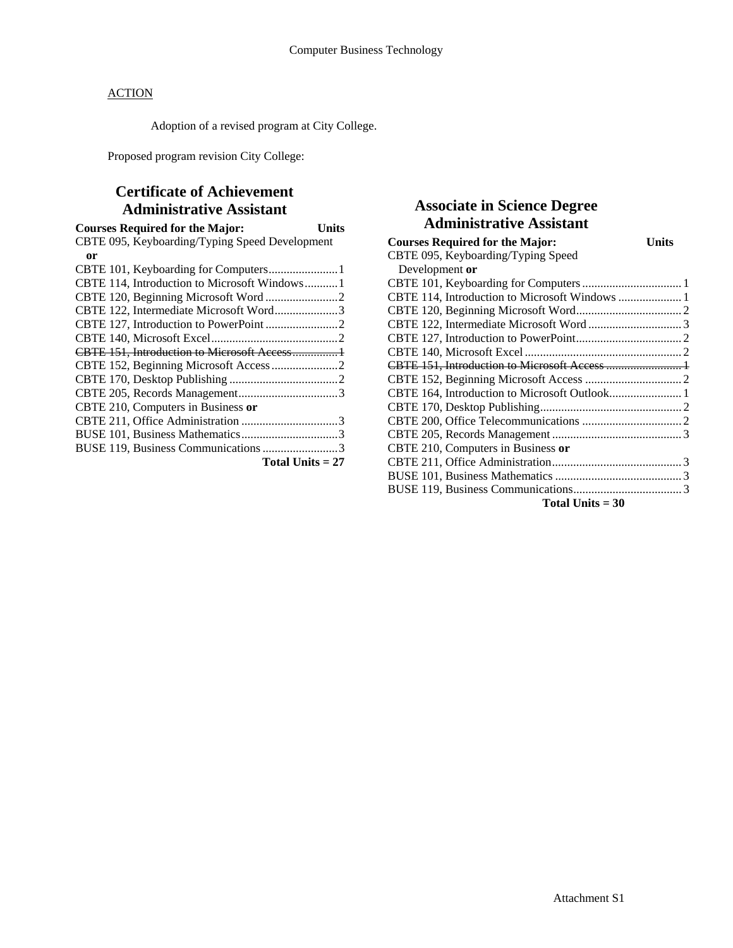Adoption of a revised program at City College.

Proposed program revision City College:

# **Certificate of Achievement Administrative Assistant**

| <b>Courses Required for the Major:</b><br>Units |  |
|-------------------------------------------------|--|
| CBTE 095, Keyboarding/Typing Speed Development  |  |
| or                                              |  |
|                                                 |  |
| CBTE 114, Introduction to Microsoft Windows1    |  |
|                                                 |  |
| CBTE 122, Intermediate Microsoft Word3          |  |
|                                                 |  |
|                                                 |  |
| CBTE 151, Introduction to Microsoft Access1     |  |
|                                                 |  |
|                                                 |  |
|                                                 |  |
| CBTE 210, Computers in Business or              |  |
|                                                 |  |
|                                                 |  |
| BUSE 119, Business Communications 3             |  |
| Total Units $= 27$                              |  |

# **Associate in Science Degree Administrative Assistant**

| <b>Courses Required for the Major:</b>         | Units |
|------------------------------------------------|-------|
| CBTE 095, Keyboarding/Typing Speed             |       |
| Development or                                 |       |
|                                                |       |
| CBTE 114, Introduction to Microsoft Windows  1 |       |
|                                                |       |
|                                                |       |
|                                                |       |
|                                                |       |
|                                                |       |
|                                                |       |
| CBTE 164, Introduction to Microsoft Outlook 1  |       |
|                                                |       |
|                                                |       |
|                                                |       |
| CBTE 210, Computers in Business or             |       |
|                                                |       |
|                                                |       |
|                                                |       |
| Total Units $=$ 30                             |       |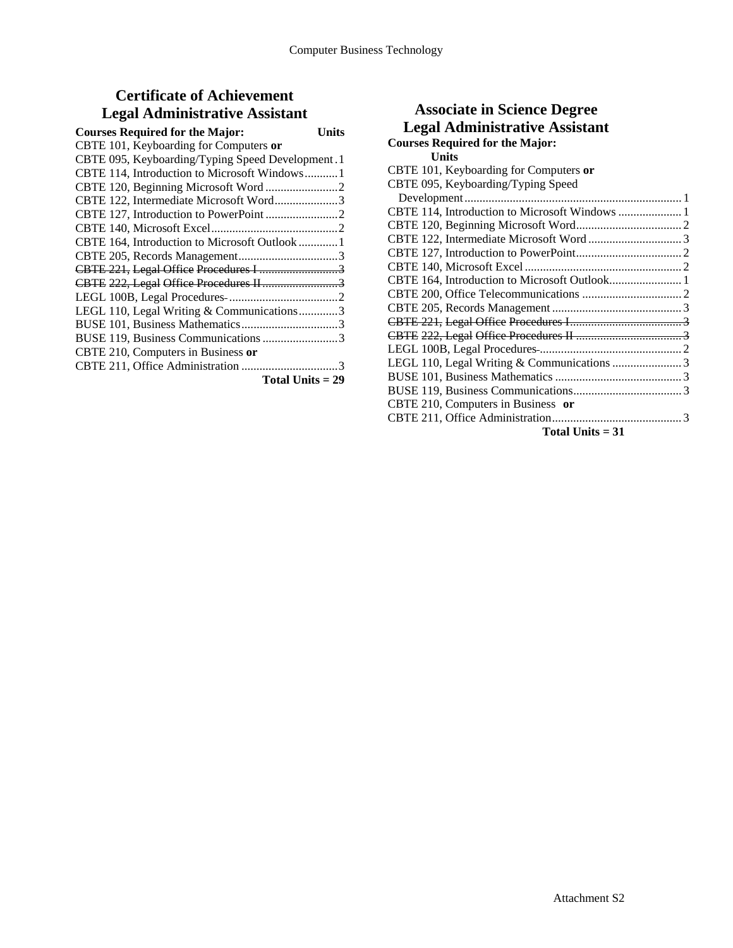# **Certificate of Achievement Legal Administrative Assistant**

| <b>Courses Required for the Major:</b><br>Units  |  |
|--------------------------------------------------|--|
| CBTE 101, Keyboarding for Computers or           |  |
| CBTE 095, Keyboarding/Typing Speed Development.1 |  |
| CBTE 114, Introduction to Microsoft Windows1     |  |
|                                                  |  |
| CBTE 122, Intermediate Microsoft Word3           |  |
|                                                  |  |
|                                                  |  |
| CBTE 164, Introduction to Microsoft Outlook  1   |  |
|                                                  |  |
|                                                  |  |
| CBTE 222, Legal Office Procedures II3            |  |
|                                                  |  |
| LEGL 110, Legal Writing & Communications3        |  |
|                                                  |  |
| BUSE 119, Business Communications 3              |  |
| CBTE 210, Computers in Business or               |  |
|                                                  |  |
| Total Units $= 29$                               |  |

# **Associate in Science Degree Legal Administrative Assistant**

| <b>Courses Required for the Major:</b> |
|----------------------------------------|
| Units                                  |
| CBTE 101, Keyboarding for Computers or |
| CBTE 095, Keyboarding/Typing Speed     |
|                                        |
|                                        |
|                                        |
|                                        |
|                                        |
|                                        |
|                                        |
|                                        |
|                                        |
|                                        |
|                                        |
|                                        |
|                                        |
|                                        |
|                                        |
| CBTE 210, Computers in Business or     |
|                                        |
| Total Units $= 31$                     |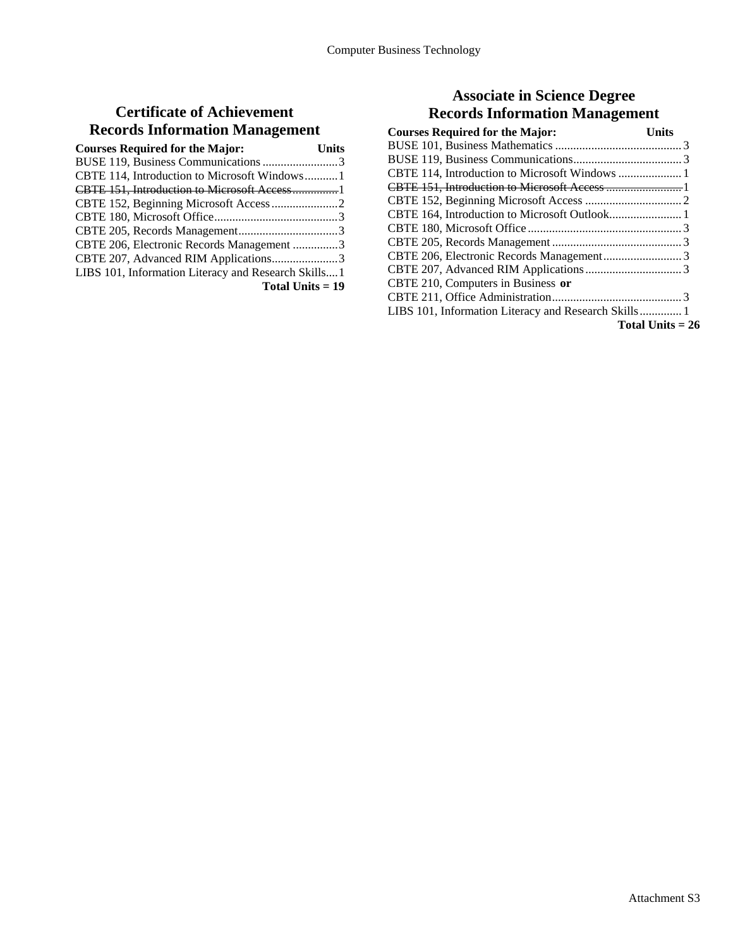# **Certificate of Achievement Records Information Management**

| <b>Courses Required for the Major:</b>              | Units |
|-----------------------------------------------------|-------|
|                                                     |       |
| CBTE 114, Introduction to Microsoft Windows1        |       |
| CBTE 151, Introduction to Microsoft Access1         |       |
|                                                     |       |
|                                                     |       |
|                                                     |       |
| CBTE 206, Electronic Records Management 3           |       |
| CBTE 207, Advanced RIM Applications3                |       |
| LIBS 101, Information Literacy and Research Skills1 |       |
| Total Units $= 19$                                  |       |

# **Associate in Science Degree Records Information Management**

| <b>Courses Required for the Major:</b>               | <b>Units</b> |
|------------------------------------------------------|--------------|
|                                                      |              |
|                                                      |              |
|                                                      |              |
|                                                      |              |
|                                                      |              |
|                                                      |              |
|                                                      |              |
|                                                      |              |
|                                                      |              |
|                                                      |              |
| CBTE 210, Computers in Business or                   |              |
|                                                      |              |
| LIBS 101, Information Literacy and Research Skills 1 |              |
|                                                      |              |

**Total Units = 26**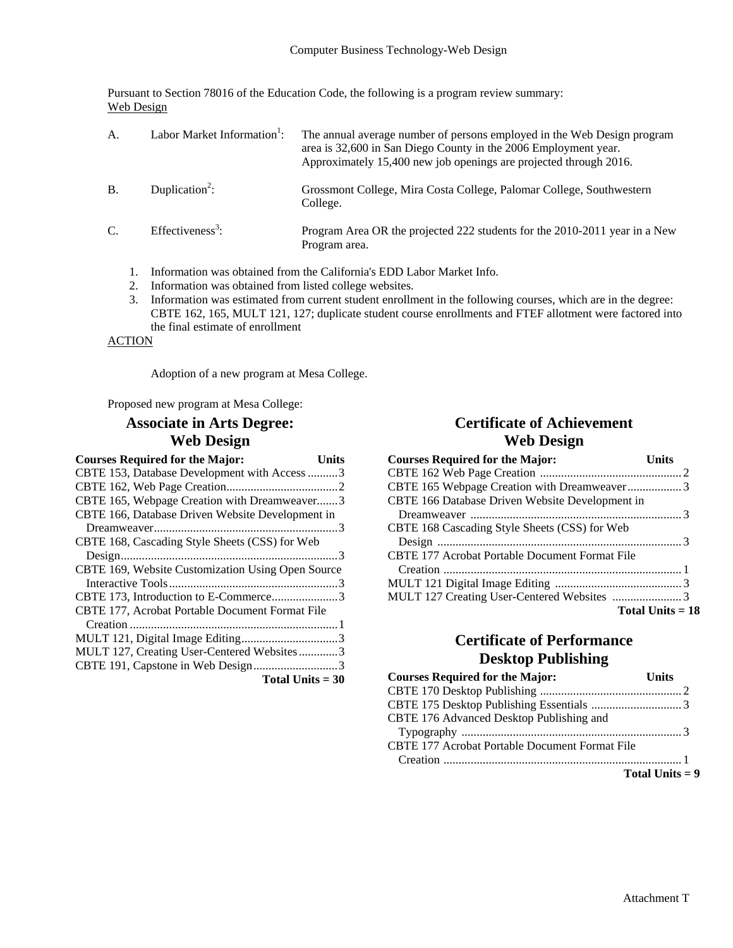Pursuant to Section 78016 of the Education Code, the following is a program review summary: Web Design

| А.        | Labor Market Information <sup>1</sup> : | The annual average number of persons employed in the Web Design program<br>area is 32,600 in San Diego County in the 2006 Employment year.<br>Approximately 15,400 new job openings are projected through 2016. |
|-----------|-----------------------------------------|-----------------------------------------------------------------------------------------------------------------------------------------------------------------------------------------------------------------|
| <b>B.</b> | Duplication <sup>2</sup> :              | Grossmont College, Mira Costa College, Palomar College, Southwestern<br>College.                                                                                                                                |
| C.        | Effectiveness <sup>3</sup> :            | Program Area OR the projected 222 students for the 2010-2011 year in a New<br>Program area.                                                                                                                     |
|           |                                         | Information was obtained from the California's EDD Labor Market Info.                                                                                                                                           |

- 2. Information was obtained from listed college websites.
- 3. Information was estimated from current student enrollment in the following courses, which are in the degree: CBTE 162, 165, MULT 121, 127; duplicate student course enrollments and FTEF allotment were factored into the final estimate of enrollment

ACTION

Adoption of a new program at Mesa College.

Proposed new program at Mesa College:

# **Associate in Arts Degree: Web Design**

| <b>Courses Required for the Major:</b><br>Units   |  |
|---------------------------------------------------|--|
| CBTE 153, Database Development with Access 3      |  |
|                                                   |  |
| CBTE 165, Webpage Creation with Dreamweaver3      |  |
| CBTE 166, Database Driven Website Development in  |  |
|                                                   |  |
| CBTE 168, Cascading Style Sheets (CSS) for Web    |  |
|                                                   |  |
| CBTE 169, Website Customization Using Open Source |  |
|                                                   |  |
| CBTE 173, Introduction to E-Commerce3             |  |
| CBTE 177, Acrobat Portable Document Format File   |  |
|                                                   |  |
|                                                   |  |
| MULT 127, Creating User-Centered Websites3        |  |
| CBTE 191, Capstone in Web Design3                 |  |
| Total Units $=$ 30                                |  |

# **Certificate of Achievement Web Design**

| <b>Courses Required for the Major:</b>          | <b>Units</b>       |
|-------------------------------------------------|--------------------|
|                                                 |                    |
| CBTE 165 Webpage Creation with Dreamweaver 3    |                    |
| CBTE 166 Database Driven Website Development in |                    |
|                                                 |                    |
| CBTE 168 Cascading Style Sheets (CSS) for Web   |                    |
|                                                 |                    |
| CBTE 177 Acrobat Portable Document Format File  |                    |
|                                                 |                    |
|                                                 |                    |
|                                                 |                    |
|                                                 | Total Units $= 18$ |

# **Certificate of Performance Desktop Publishing**

| <b>Courses Required for the Major:</b>                | <b>Units</b>      |
|-------------------------------------------------------|-------------------|
|                                                       |                   |
|                                                       |                   |
| CBTE 176 Advanced Desktop Publishing and              |                   |
|                                                       |                   |
| <b>CBTE 177 Acrobat Portable Document Format File</b> |                   |
|                                                       |                   |
|                                                       | Total Units $= 9$ |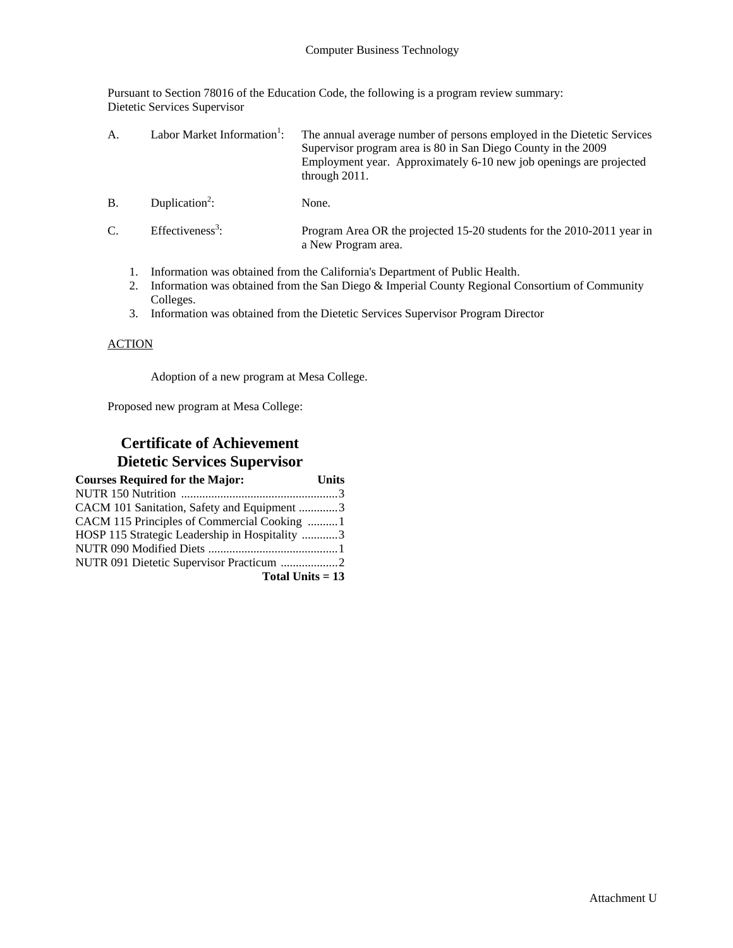Pursuant to Section 78016 of the Education Code, the following is a program review summary: Dietetic Services Supervisor

| Labor Market Information <sup>1</sup> :<br>The annual average number of persons employed in the Dietetic Services<br>А.<br>Supervisor program area is 80 in San Diego County in the 2009<br>Employment year. Approximately 6-10 new job openings are projected<br>through $2011$ . |
|------------------------------------------------------------------------------------------------------------------------------------------------------------------------------------------------------------------------------------------------------------------------------------|
|------------------------------------------------------------------------------------------------------------------------------------------------------------------------------------------------------------------------------------------------------------------------------------|

- $B.$  Duplication<sup>2</sup>: None.  $C.$  Effectiveness<sup>3</sup>: : Program Area OR the projected 15-20 students for the 2010-2011 year in a New Program area.
	- 1. Information was obtained from the California's Department of Public Health.
	- 2. Information was obtained from the San Diego & Imperial County Regional Consortium of Community Colleges.
	- 3. Information was obtained from the Dietetic Services Supervisor Program Director

## ACTION

Adoption of a new program at Mesa College.

Proposed new program at Mesa College:

# **Certificate of Achievement Dietetic Services Supervisor**

| <b>Courses Required for the Major:</b>         | <b>Units</b> |
|------------------------------------------------|--------------|
|                                                |              |
| CACM 101 Sanitation, Safety and Equipment 3    |              |
| CACM 115 Principles of Commercial Cooking 1    |              |
| HOSP 115 Strategic Leadership in Hospitality 3 |              |
|                                                |              |
| NUTR 091 Dietetic Supervisor Practicum 2       |              |
| Total Units $= 13$                             |              |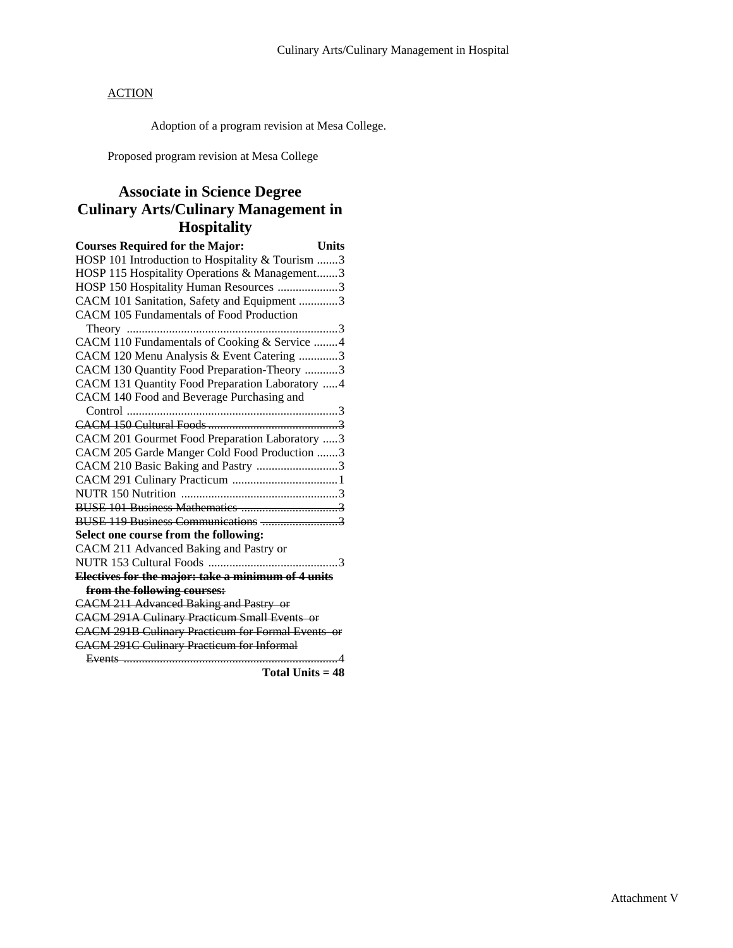Adoption of a program revision at Mesa College.

Proposed program revision at Mesa College

# **Associate in Science Degree Culinary Arts/Culinary Management in Hospitality**

| <b>Courses Required for the Major:</b><br><b>Units</b>   |
|----------------------------------------------------------|
| HOSP 101 Introduction to Hospitality & Tourism 3         |
| HOSP 115 Hospitality Operations & Management3            |
| HOSP 150 Hospitality Human Resources 3                   |
| CACM 101 Sanitation, Safety and Equipment 3              |
| CACM 105 Fundamentals of Food Production                 |
|                                                          |
| CACM 110 Fundamentals of Cooking & Service 4             |
| CACM 120 Menu Analysis & Event Catering 3                |
| CACM 130 Quantity Food Preparation-Theory 3              |
| CACM 131 Quantity Food Preparation Laboratory  4         |
| CACM 140 Food and Beverage Purchasing and                |
|                                                          |
|                                                          |
| CACM 201 Gourmet Food Preparation Laboratory 3           |
| CACM 205 Garde Manger Cold Food Production 3             |
| CACM 210 Basic Baking and Pastry 3                       |
|                                                          |
|                                                          |
|                                                          |
|                                                          |
| Select one course from the following:                    |
| CACM 211 Advanced Baking and Pastry or                   |
|                                                          |
| Electives for the major: take a minimum of 4 units       |
| from the following courses:                              |
| <b>CACM 211 Advanced Baking and Pastry or</b>            |
| <b>CACM 291A Culinary Practicum Small Events or</b>      |
| <b>CACM 291B Culinary Practicum for Formal Events or</b> |
| <b>CACM 291C Culinary Practicum for Informal</b>         |
|                                                          |
| Total Units = 48                                         |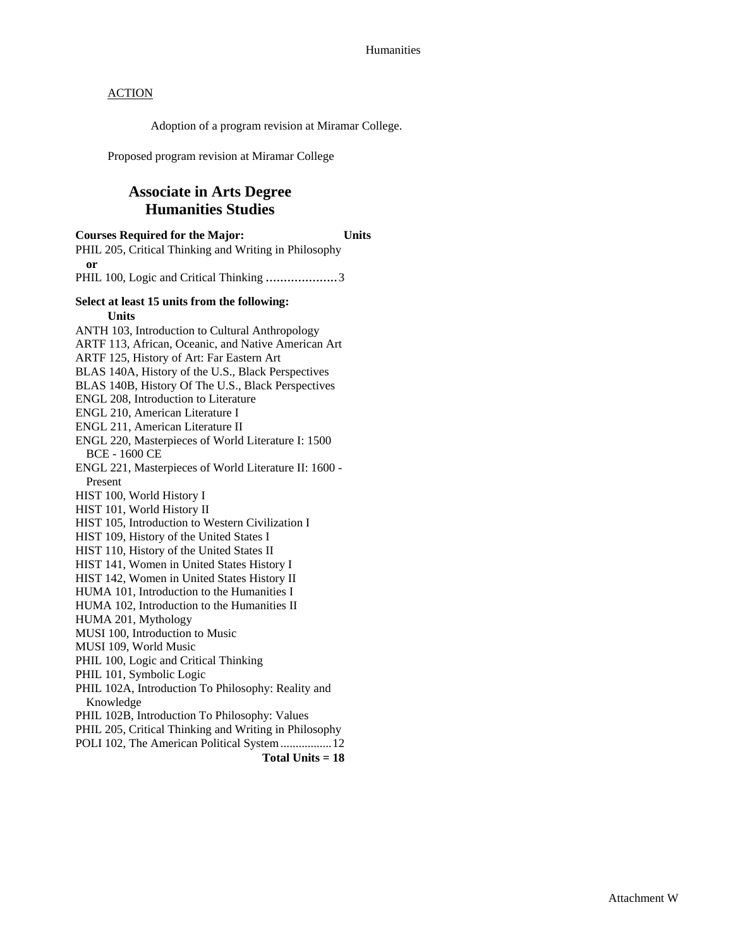Adoption of a program revision at Miramar College.

Proposed program revision at Miramar College

# **Associate in Arts Degree Humanities Studies**

**Courses Required for the Major: Units**  PHIL 205, Critical Thinking and Writing in Philosophy **or** PHIL 100, Logic and Critical Thinking ........................3 **Select at least 15 units from the following: Units**  ANTH 103, Introduction to Cultural Anthropology ARTF 113, African, Oceanic, and Native American Art ARTF 125, History of Art: Far Eastern Art BLAS 140A, History of the U.S., Black Perspectives BLAS 140B, History Of The U.S., Black Perspectives ENGL 208, Introduction to Literature ENGL 210, American Literature I ENGL 211, American Literature II ENGL 220, Masterpieces of World Literature I: 1500 BCE - 1600 CE ENGL 221, Masterpieces of World Literature II: 1600 - Present HIST 100, World History I HIST 101, World History II HIST 105, Introduction to Western Civilization I HIST 109, History of the United States I HIST 110, History of the United States II HIST 141, Women in United States History I HIST 142, Women in United States History II HUMA 101, Introduction to the Humanities I HUMA 102, Introduction to the Humanities II HUMA 201, Mythology MUSI 100, Introduction to Music MUSI 109, World Music PHIL 100, Logic and Critical Thinking PHIL 101, Symbolic Logic PHIL 102A, Introduction To Philosophy: Reality and Knowledge PHIL 102B, Introduction To Philosophy: Values PHIL 205, Critical Thinking and Writing in Philosophy POLI 102, The American Political System .................12

**Total Units = 18**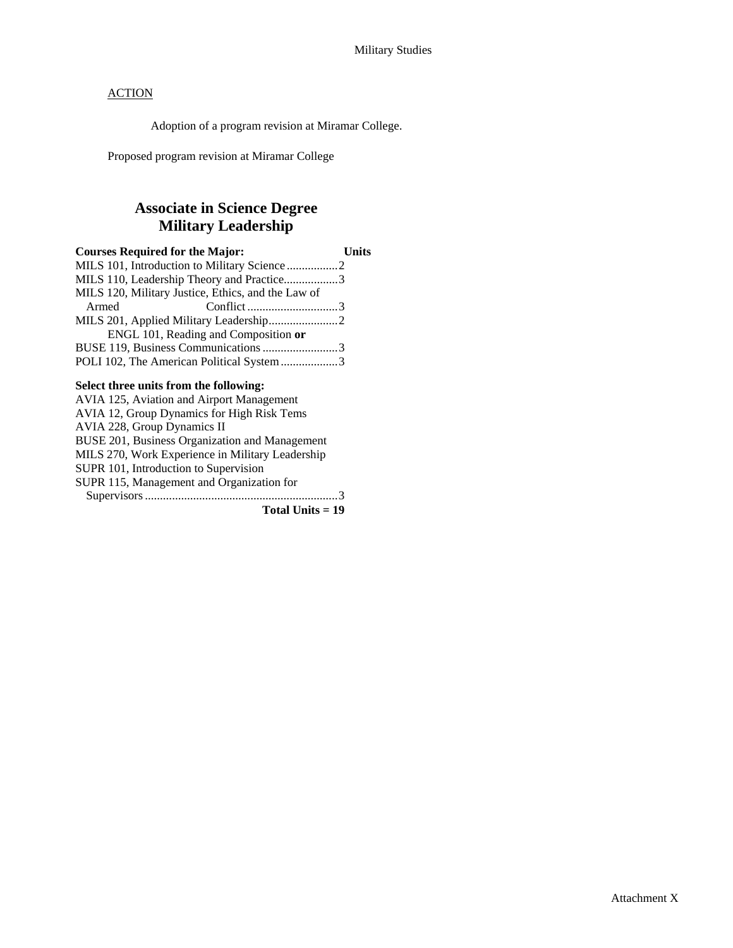Adoption of a program revision at Miramar College.

Proposed program revision at Miramar College

# **Associate in Science Degree Military Leadership**

| <b>Courses Required for the Major:</b>             | ∐nits |
|----------------------------------------------------|-------|
| MILS 101, Introduction to Military Science 2       |       |
| MILS 110, Leadership Theory and Practice3          |       |
| MILS 120, Military Justice, Ethics, and the Law of |       |
| Armed                                              |       |
|                                                    |       |
| ENGL 101, Reading and Composition or               |       |
|                                                    |       |
| POLI 102, The American Political System 3          |       |
| Select three units from the following:             |       |

| Total Units $= 19$                               |
|--------------------------------------------------|
|                                                  |
| SUPR 115, Management and Organization for        |
| SUPR 101, Introduction to Supervision            |
| MILS 270, Work Experience in Military Leadership |
| BUSE 201, Business Organization and Management   |
| AVIA 228, Group Dynamics II                      |
| AVIA 12, Group Dynamics for High Risk Tems       |
| AVIA 125, Aviation and Airport Management        |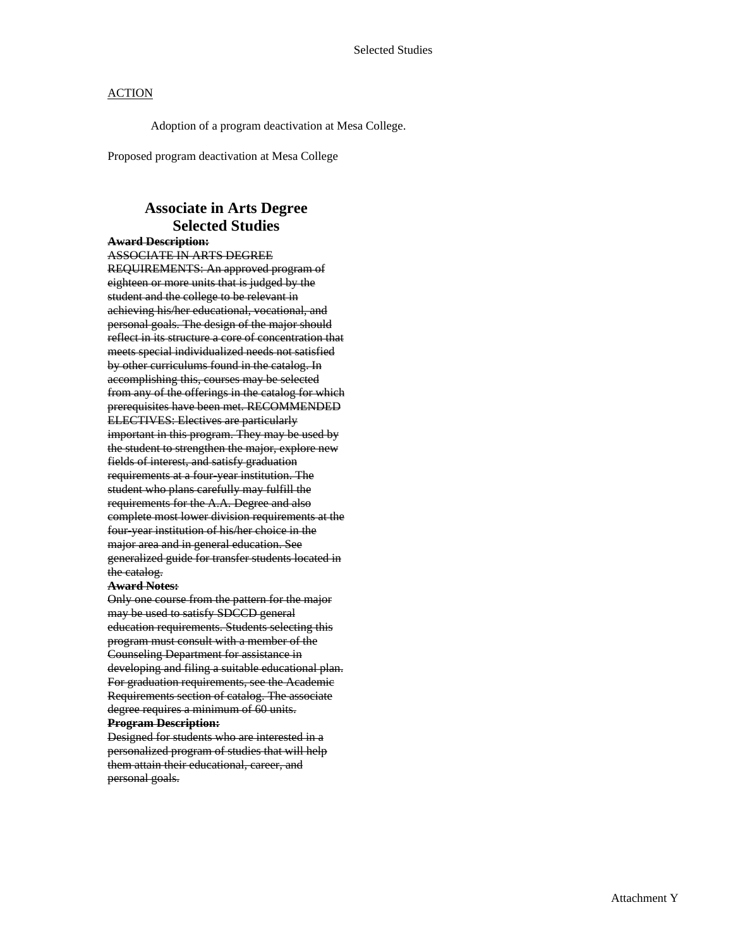Adoption of a program deactivation at Mesa College.

Proposed program deactivation at Mesa College

# **Associate in Arts Degree Selected Studies**

**Award Description:** ASSOCIATE IN ARTS DEGREE REQUIREMENTS: An approved program of eighteen or more units that is judged by the student and the college to be relevant in achieving his/her educational, vocational, and personal goals. The design of the major should reflect in its structure a core of concentration that meets special individualized needs not satisfied by other curriculums found in the catalog. In accomplishing this, courses may be selected from any of the offerings in the catalog for which prerequisites have been met. RECOMMENDED ELECTIVES: Electives are particularly important in this program. They may be used by the student to strengthen the major, explore new fields of interest, and satisfy graduation requirements at a four-year institution. The student who plans carefully may fulfill the requirements for the A.A. Degree and also complete most lower division requirements at the four-year institution of his/her choice in the major area and in general education. See generalized guide for transfer students located in the catalog.

#### **Award Notes:**

Only one course from the pattern for the major may be used to satisfy SDCCD general education requirements. Students selecting this program must consult with a member of the Counseling Department for assistance in developing and filing a suitable educational plan. For graduation requirements, see the Academic Requirements section of catalog. The associate degree requires a minimum of 60 units. **Program Description:**

Designed for students who are interested in a personalized program of studies that will help them attain their educational, career, and personal goals.